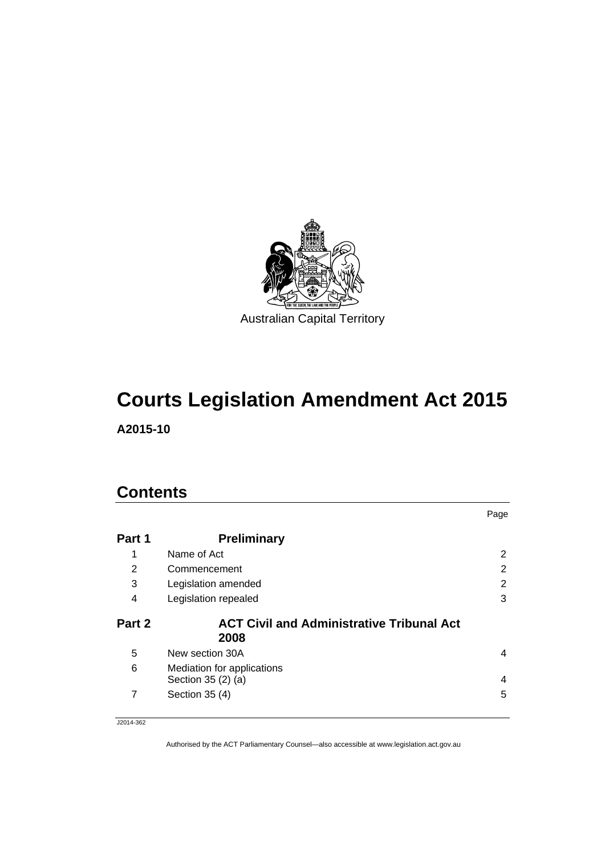

# **Courts Legislation Amendment Act 2015**

**A2015-10** 

### **Contents**

|        |                                                  | Page           |
|--------|--------------------------------------------------|----------------|
| Part 1 | <b>Preliminary</b>                               |                |
| 1      | Name of Act                                      | 2              |
| 2      | Commencement                                     | $\overline{2}$ |
| 3      | Legislation amended                              | $\overline{2}$ |
| 4      | Legislation repealed                             | 3              |
| Part 2 | <b>ACT Civil and Administrative Tribunal Act</b> |                |
|        | 2008                                             |                |
| 5      | New section 30A                                  | 4              |
| 6      | Mediation for applications<br>Section 35 (2) (a) | 4              |

J2014-362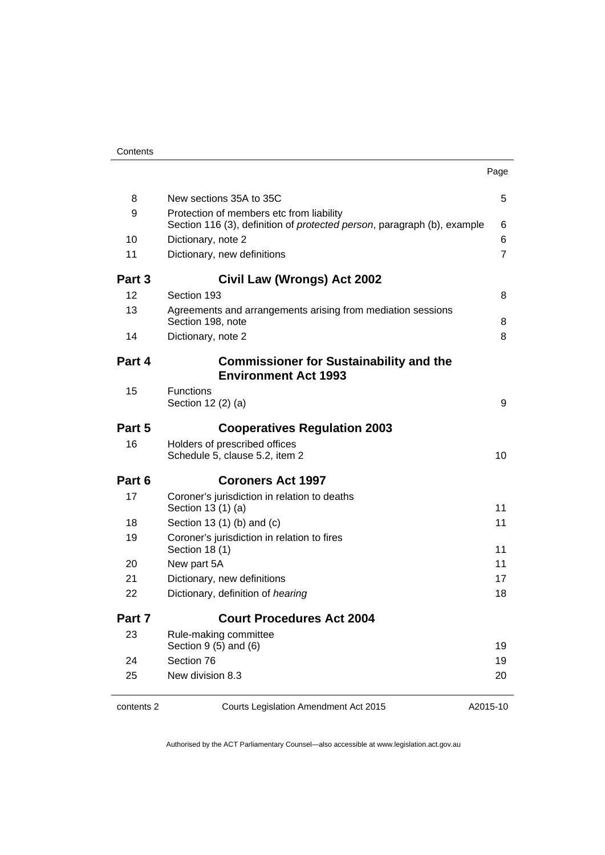|        |                                                                                                                             | Page           |
|--------|-----------------------------------------------------------------------------------------------------------------------------|----------------|
| 8      | New sections 35A to 35C                                                                                                     | 5              |
| 9      | Protection of members etc from liability<br>Section 116 (3), definition of <i>protected person</i> , paragraph (b), example | 6              |
| 10     | Dictionary, note 2                                                                                                          | 6              |
| 11     | Dictionary, new definitions                                                                                                 | $\overline{7}$ |
| Part 3 | <b>Civil Law (Wrongs) Act 2002</b>                                                                                          |                |
| 12     | Section 193                                                                                                                 | 8              |
| 13     | Agreements and arrangements arising from mediation sessions<br>Section 198, note                                            | 8              |
| 14     | Dictionary, note 2                                                                                                          | 8              |
| Part 4 | <b>Commissioner for Sustainability and the</b><br><b>Environment Act 1993</b>                                               |                |
| 15     | <b>Functions</b><br>Section 12 (2) (a)                                                                                      | 9              |
| Part 5 | <b>Cooperatives Regulation 2003</b>                                                                                         |                |
| 16     | Holders of prescribed offices<br>Schedule 5, clause 5.2, item 2                                                             | 10             |
| Part 6 | <b>Coroners Act 1997</b>                                                                                                    |                |
| 17     | Coroner's jurisdiction in relation to deaths<br>Section 13 (1) (a)                                                          | 11             |
| 18     | Section 13 (1) (b) and (c)                                                                                                  | 11             |
| 19     | Coroner's jurisdiction in relation to fires<br>Section 18 (1)                                                               | 11             |
| 20     | New part 5A                                                                                                                 | 11             |
| 21     | Dictionary, new definitions                                                                                                 | 17             |
| 22     | Dictionary, definition of hearing                                                                                           | 18             |
| Part 7 | <b>Court Procedures Act 2004</b>                                                                                            |                |
| 23     | Rule-making committee<br>Section $9(5)$ and $(6)$                                                                           | 19             |
| 24     | Section 76                                                                                                                  | 19             |
| 25     | New division 8.3                                                                                                            | 20             |

contents 2 Courts Legislation Amendment Act 2015

A2015-10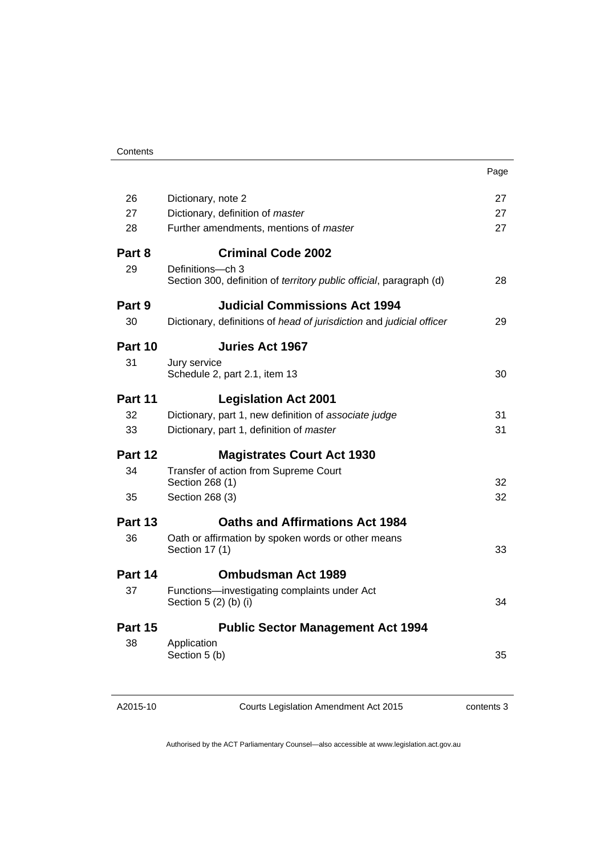| 26<br>27<br>Dictionary, note 2<br>27<br>Dictionary, definition of master<br>27<br>28<br>Further amendments, mentions of master<br>27<br><b>Criminal Code 2002</b><br>Part 8<br>29<br>Definitions-ch 3<br>Section 300, definition of territory public official, paragraph (d)<br>28<br><b>Judicial Commissions Act 1994</b><br>Part 9<br>30<br>Dictionary, definitions of head of jurisdiction and judicial officer<br>29<br><b>Juries Act 1967</b><br>Part 10<br>31<br>Jury service<br>Schedule 2, part 2.1, item 13<br>30<br>Part 11<br><b>Legislation Act 2001</b><br>Dictionary, part 1, new definition of associate judge<br>31<br>32<br>31<br>33<br>Dictionary, part 1, definition of master<br>Part 12<br><b>Magistrates Court Act 1930</b><br>34<br>Transfer of action from Supreme Court<br>Section 268 (1)<br>32<br>32<br>35<br>Section 268 (3)<br><b>Oaths and Affirmations Act 1984</b><br>Part 13<br>36<br>Oath or affirmation by spoken words or other means<br>Section 17 (1)<br>33<br><b>Ombudsman Act 1989</b><br>Part 14<br>37<br>Functions-investigating complaints under Act<br>Section 5 (2) (b) (i)<br>34<br><b>Public Sector Management Act 1994</b><br>Part 15<br>38<br>Application |               | Page |
|------------------------------------------------------------------------------------------------------------------------------------------------------------------------------------------------------------------------------------------------------------------------------------------------------------------------------------------------------------------------------------------------------------------------------------------------------------------------------------------------------------------------------------------------------------------------------------------------------------------------------------------------------------------------------------------------------------------------------------------------------------------------------------------------------------------------------------------------------------------------------------------------------------------------------------------------------------------------------------------------------------------------------------------------------------------------------------------------------------------------------------------------------------------------------------------------------------|---------------|------|
|                                                                                                                                                                                                                                                                                                                                                                                                                                                                                                                                                                                                                                                                                                                                                                                                                                                                                                                                                                                                                                                                                                                                                                                                            |               |      |
|                                                                                                                                                                                                                                                                                                                                                                                                                                                                                                                                                                                                                                                                                                                                                                                                                                                                                                                                                                                                                                                                                                                                                                                                            |               |      |
|                                                                                                                                                                                                                                                                                                                                                                                                                                                                                                                                                                                                                                                                                                                                                                                                                                                                                                                                                                                                                                                                                                                                                                                                            |               |      |
|                                                                                                                                                                                                                                                                                                                                                                                                                                                                                                                                                                                                                                                                                                                                                                                                                                                                                                                                                                                                                                                                                                                                                                                                            |               |      |
|                                                                                                                                                                                                                                                                                                                                                                                                                                                                                                                                                                                                                                                                                                                                                                                                                                                                                                                                                                                                                                                                                                                                                                                                            |               |      |
|                                                                                                                                                                                                                                                                                                                                                                                                                                                                                                                                                                                                                                                                                                                                                                                                                                                                                                                                                                                                                                                                                                                                                                                                            |               |      |
|                                                                                                                                                                                                                                                                                                                                                                                                                                                                                                                                                                                                                                                                                                                                                                                                                                                                                                                                                                                                                                                                                                                                                                                                            |               |      |
|                                                                                                                                                                                                                                                                                                                                                                                                                                                                                                                                                                                                                                                                                                                                                                                                                                                                                                                                                                                                                                                                                                                                                                                                            |               |      |
|                                                                                                                                                                                                                                                                                                                                                                                                                                                                                                                                                                                                                                                                                                                                                                                                                                                                                                                                                                                                                                                                                                                                                                                                            |               |      |
|                                                                                                                                                                                                                                                                                                                                                                                                                                                                                                                                                                                                                                                                                                                                                                                                                                                                                                                                                                                                                                                                                                                                                                                                            |               |      |
|                                                                                                                                                                                                                                                                                                                                                                                                                                                                                                                                                                                                                                                                                                                                                                                                                                                                                                                                                                                                                                                                                                                                                                                                            |               |      |
|                                                                                                                                                                                                                                                                                                                                                                                                                                                                                                                                                                                                                                                                                                                                                                                                                                                                                                                                                                                                                                                                                                                                                                                                            |               |      |
|                                                                                                                                                                                                                                                                                                                                                                                                                                                                                                                                                                                                                                                                                                                                                                                                                                                                                                                                                                                                                                                                                                                                                                                                            |               |      |
|                                                                                                                                                                                                                                                                                                                                                                                                                                                                                                                                                                                                                                                                                                                                                                                                                                                                                                                                                                                                                                                                                                                                                                                                            |               |      |
|                                                                                                                                                                                                                                                                                                                                                                                                                                                                                                                                                                                                                                                                                                                                                                                                                                                                                                                                                                                                                                                                                                                                                                                                            |               |      |
|                                                                                                                                                                                                                                                                                                                                                                                                                                                                                                                                                                                                                                                                                                                                                                                                                                                                                                                                                                                                                                                                                                                                                                                                            |               |      |
|                                                                                                                                                                                                                                                                                                                                                                                                                                                                                                                                                                                                                                                                                                                                                                                                                                                                                                                                                                                                                                                                                                                                                                                                            |               |      |
|                                                                                                                                                                                                                                                                                                                                                                                                                                                                                                                                                                                                                                                                                                                                                                                                                                                                                                                                                                                                                                                                                                                                                                                                            |               |      |
|                                                                                                                                                                                                                                                                                                                                                                                                                                                                                                                                                                                                                                                                                                                                                                                                                                                                                                                                                                                                                                                                                                                                                                                                            |               |      |
|                                                                                                                                                                                                                                                                                                                                                                                                                                                                                                                                                                                                                                                                                                                                                                                                                                                                                                                                                                                                                                                                                                                                                                                                            |               |      |
|                                                                                                                                                                                                                                                                                                                                                                                                                                                                                                                                                                                                                                                                                                                                                                                                                                                                                                                                                                                                                                                                                                                                                                                                            |               |      |
|                                                                                                                                                                                                                                                                                                                                                                                                                                                                                                                                                                                                                                                                                                                                                                                                                                                                                                                                                                                                                                                                                                                                                                                                            |               |      |
|                                                                                                                                                                                                                                                                                                                                                                                                                                                                                                                                                                                                                                                                                                                                                                                                                                                                                                                                                                                                                                                                                                                                                                                                            |               |      |
|                                                                                                                                                                                                                                                                                                                                                                                                                                                                                                                                                                                                                                                                                                                                                                                                                                                                                                                                                                                                                                                                                                                                                                                                            |               |      |
|                                                                                                                                                                                                                                                                                                                                                                                                                                                                                                                                                                                                                                                                                                                                                                                                                                                                                                                                                                                                                                                                                                                                                                                                            |               |      |
|                                                                                                                                                                                                                                                                                                                                                                                                                                                                                                                                                                                                                                                                                                                                                                                                                                                                                                                                                                                                                                                                                                                                                                                                            | Section 5 (b) | 35   |
|                                                                                                                                                                                                                                                                                                                                                                                                                                                                                                                                                                                                                                                                                                                                                                                                                                                                                                                                                                                                                                                                                                                                                                                                            |               |      |
|                                                                                                                                                                                                                                                                                                                                                                                                                                                                                                                                                                                                                                                                                                                                                                                                                                                                                                                                                                                                                                                                                                                                                                                                            |               |      |

A2015-10

Courts Legislation Amendment Act 2015

contents 3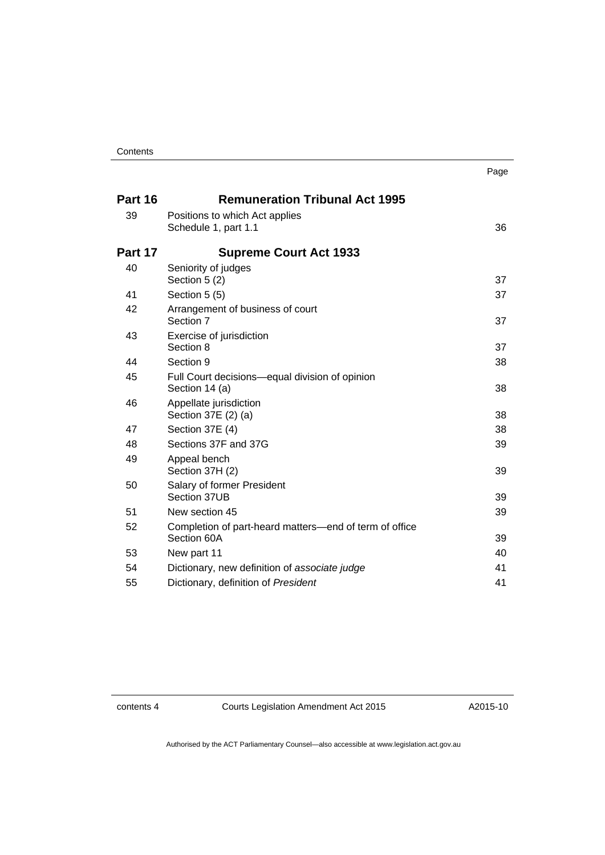|         |                                                                       | Page |
|---------|-----------------------------------------------------------------------|------|
| Part 16 | <b>Remuneration Tribunal Act 1995</b>                                 |      |
| 39      | Positions to which Act applies<br>Schedule 1, part 1.1                | 36   |
| Part 17 | <b>Supreme Court Act 1933</b>                                         |      |
| 40      | Seniority of judges<br>Section 5 (2)                                  | 37   |
| 41      | Section 5 (5)                                                         | 37   |
| 42      | Arrangement of business of court<br>Section 7                         | 37   |
| 43      | Exercise of jurisdiction<br>Section 8                                 | 37   |
| 44      | Section 9                                                             | 38   |
| 45      | Full Court decisions—equal division of opinion<br>Section 14 (a)      | 38   |
| 46      | Appellate jurisdiction<br>Section 37E (2) (a)                         | 38   |
| 47      | Section 37E (4)                                                       | 38   |
| 48      | Sections 37F and 37G                                                  | 39   |
| 49      | Appeal bench<br>Section 37H (2)                                       | 39   |
| 50      | Salary of former President<br>Section 37UB                            | 39   |
| 51      | New section 45                                                        | 39   |
| 52      | Completion of part-heard matters-end of term of office<br>Section 60A | 39   |
| 53      | New part 11                                                           | 40   |
| 54      | Dictionary, new definition of associate judge                         | 41   |
| 55      | Dictionary, definition of President                                   | 41   |

contents 4 Courts Legislation Amendment Act 2015

A2015-10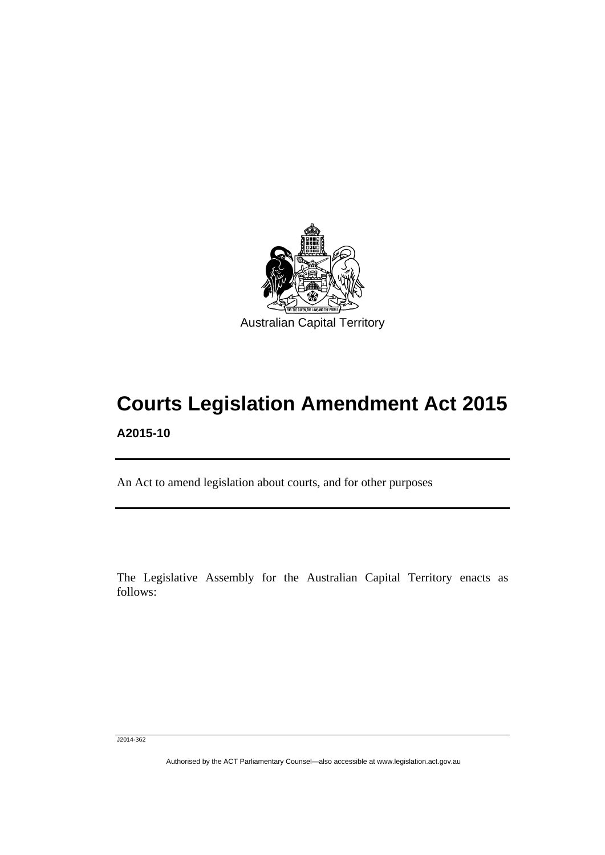

## **Courts Legislation Amendment Act 2015 A2015-10**

An Act to amend legislation about courts, and for other purposes

The Legislative Assembly for the Australian Capital Territory enacts as follows:

J2014-362

l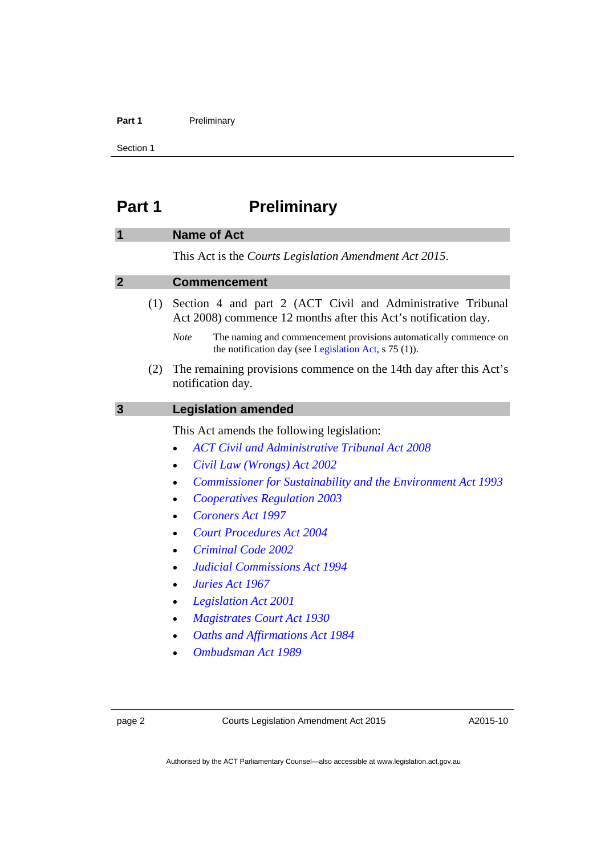#### Part 1 **Preliminary**

Section 1

### <span id="page-5-0"></span>**Part 1** Preliminary

#### <span id="page-5-1"></span>**1 Name of Act**

This Act is the *Courts Legislation Amendment Act 2015*.

#### <span id="page-5-2"></span>**2 Commencement**

- (1) Section 4 and part 2 (ACT Civil and Administrative Tribunal Act 2008) commence 12 months after this Act's notification day.
	- *Note* The naming and commencement provisions automatically commence on the notification day (see [Legislation Act,](http://www.legislation.act.gov.au/a/2001-14) s 75 (1)).
- (2) The remaining provisions commence on the 14th day after this Act's notification day.

#### <span id="page-5-3"></span>**3 Legislation amended**

This Act amends the following legislation:

- *[ACT Civil and Administrative Tribunal Act 2008](http://www.legislation.act.gov.au/a/2008-35)*
- *[Civil Law \(Wrongs\) Act 2002](http://www.legislation.act.gov.au/a/2002-40)*
- *[Commissioner for Sustainability and the Environment Act 1993](http://www.legislation.act.gov.au/a/1993-37)*
- *[Cooperatives Regulation 2003](http://www.legislation.act.gov.au/sl/2003-22)*
- *[Coroners Act 1997](http://www.legislation.act.gov.au/a/1997-57)*
- *[Court Procedures Act 2004](http://www.legislation.act.gov.au/a/2004-59)*
- *[Criminal Code 2002](http://www.legislation.act.gov.au/a/2002-51)*
- *[Judicial Commissions Act 1994](http://www.legislation.act.gov.au/a/1994-9)*
- *[Juries Act 1967](http://www.legislation.act.gov.au/a/1967-47)*
- *[Legislation Act 2001](http://www.legislation.act.gov.au/a/2001-14)*
- *[Magistrates Court Act 1930](http://www.legislation.act.gov.au/a/1930-21)*
- *[Oaths and Affirmations Act 1984](http://www.legislation.act.gov.au/a/1984-79)*
- *[Ombudsman Act 1989](http://www.legislation.act.gov.au/a/alt_a1989-45co)*

page 2 Courts Legislation Amendment Act 2015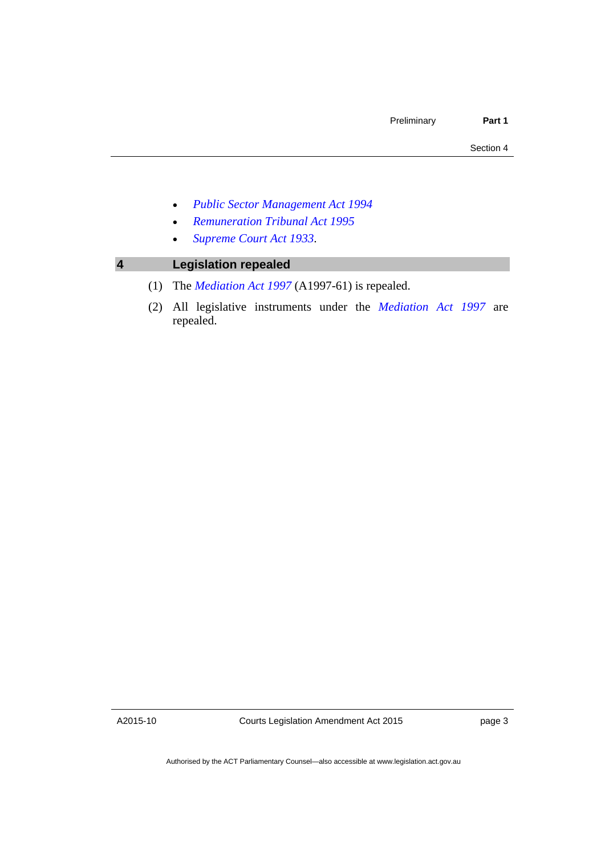- *[Public Sector Management Act 1994](http://www.legislation.act.gov.au/a/1994-37)*
- *[Remuneration Tribunal Act 1995](http://www.legislation.act.gov.au/a/1995-55)*
- *[Supreme Court Act 1933](http://www.legislation.act.gov.au/a/1933-34)*.

### <span id="page-6-0"></span>**4 Legislation repealed**

- (1) The *[Mediation Act 1997](http://www.legislation.act.gov.au/a/1997-61)* (A1997-61) is repealed.
- (2) All legislative instruments under the *[Mediation Act 1997](http://www.legislation.act.gov.au/a/1997-61)* are repealed.

A2015-10

Courts Legislation Amendment Act 2015

page 3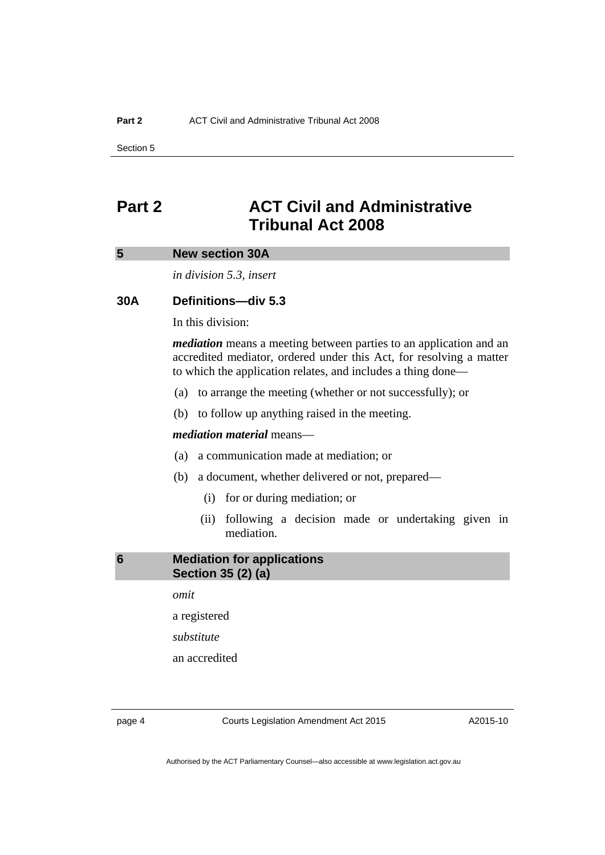Section 5

### <span id="page-7-0"></span>**Part 2 ACT Civil and Administrative Tribunal Act 2008**

#### <span id="page-7-1"></span>**5 New section 30A**

*in division 5.3, insert* 

#### **30A Definitions—div 5.3**

In this division:

*mediation* means a meeting between parties to an application and an accredited mediator, ordered under this Act, for resolving a matter to which the application relates, and includes a thing done—

- (a) to arrange the meeting (whether or not successfully); or
- (b) to follow up anything raised in the meeting.

#### *mediation material* means—

- (a) a communication made at mediation; or
- (b) a document, whether delivered or not, prepared—
	- (i) for or during mediation; or
	- (ii) following a decision made or undertaking given in mediation.

<span id="page-7-2"></span>**6 Mediation for applications Section 35 (2) (a)** 

*omit* 

a registered

*substitute* 

an accredited

page 4 Courts Legislation Amendment Act 2015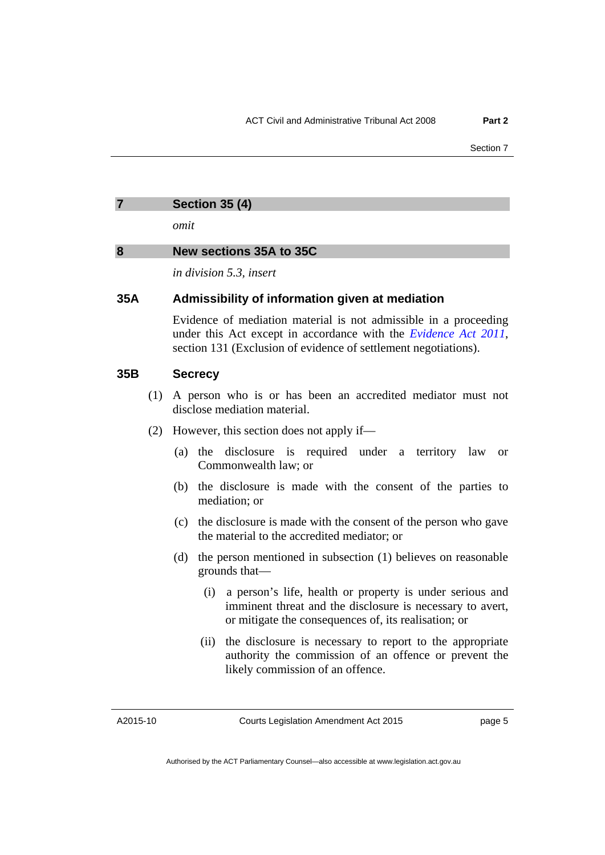#### <span id="page-8-0"></span>**7 Section 35 (4)**

*omit* 

#### <span id="page-8-1"></span>**8 New sections 35A to 35C**

*in division 5.3, insert* 

#### **35A Admissibility of information given at mediation**

Evidence of mediation material is not admissible in a proceeding under this Act except in accordance with the *[Evidence Act 2011](http://www.legislation.act.gov.au/a/2011-12)*, section 131 (Exclusion of evidence of settlement negotiations).

#### **35B Secrecy**

- (1) A person who is or has been an accredited mediator must not disclose mediation material.
- (2) However, this section does not apply if—
	- (a) the disclosure is required under a territory law or Commonwealth law; or
	- (b) the disclosure is made with the consent of the parties to mediation; or
	- (c) the disclosure is made with the consent of the person who gave the material to the accredited mediator; or
	- (d) the person mentioned in subsection (1) believes on reasonable grounds that—
		- (i) a person's life, health or property is under serious and imminent threat and the disclosure is necessary to avert, or mitigate the consequences of, its realisation; or
		- (ii) the disclosure is necessary to report to the appropriate authority the commission of an offence or prevent the likely commission of an offence.

A2015-10

Courts Legislation Amendment Act 2015

page 5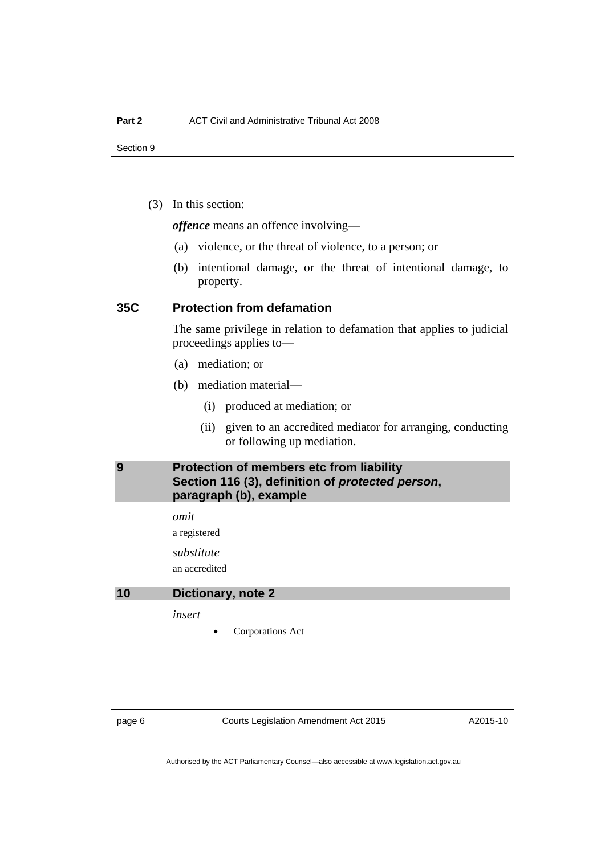(3) In this section:

*offence* means an offence involving—

- (a) violence, or the threat of violence, to a person; or
- (b) intentional damage, or the threat of intentional damage, to property.

#### **35C Protection from defamation**

The same privilege in relation to defamation that applies to judicial proceedings applies to—

- (a) mediation; or
- (b) mediation material—
	- (i) produced at mediation; or
	- (ii) given to an accredited mediator for arranging, conducting or following up mediation.

#### <span id="page-9-0"></span>**9 Protection of members etc from liability Section 116 (3), definition of** *protected person***, paragraph (b), example**

*omit* 

a registered

*substitute* 

an accredited

#### <span id="page-9-1"></span>**10 Dictionary, note 2**

*insert* 

Corporations Act

page 6 Courts Legislation Amendment Act 2015

A2015-10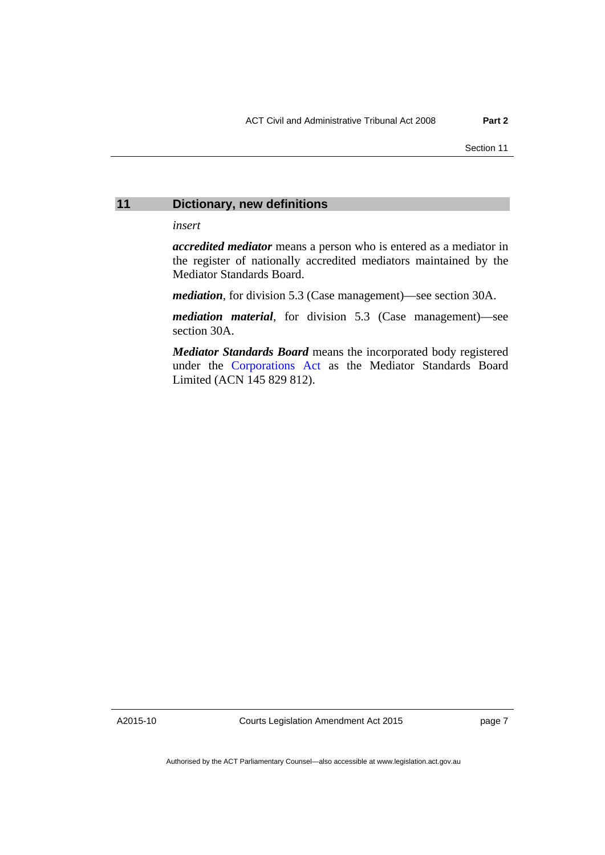#### <span id="page-10-0"></span>**11 Dictionary, new definitions**

*insert* 

*accredited mediator* means a person who is entered as a mediator in the register of nationally accredited mediators maintained by the Mediator Standards Board.

*mediation*, for division 5.3 (Case management)—see section 30A.

*mediation material*, for division 5.3 (Case management)—see section 30A.

*Mediator Standards Board* means the incorporated body registered under the [Corporations Act](http://www.comlaw.gov.au/Series/C2004A00818) as the Mediator Standards Board Limited (ACN 145 829 812).

A2015-10

Courts Legislation Amendment Act 2015

page 7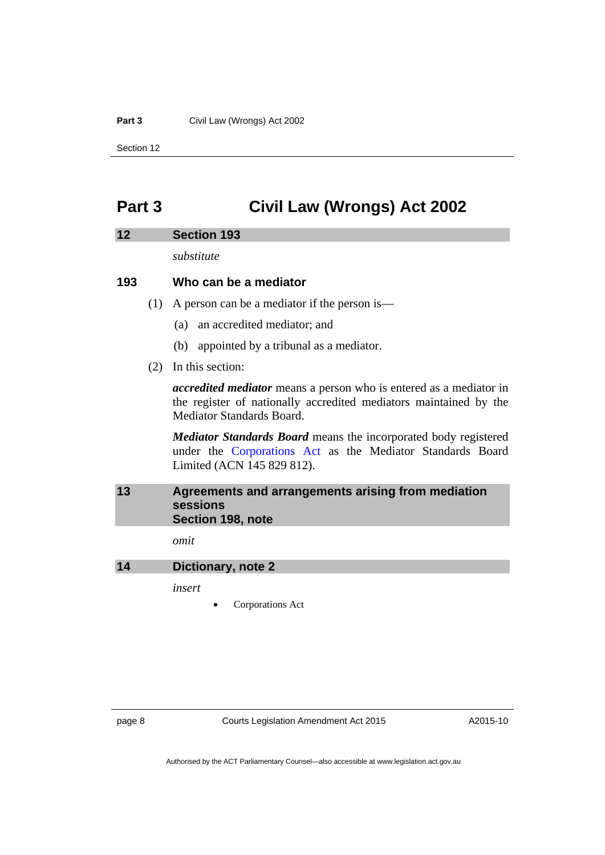#### **Part 3 Civil Law (Wrongs) Act 2002**

Section 12

### <span id="page-11-0"></span>**Part 3 Civil Law (Wrongs) Act 2002**

#### <span id="page-11-1"></span>**12 Section 193**

*substitute* 

#### **193 Who can be a mediator**

- (1) A person can be a mediator if the person is—
	- (a) an accredited mediator; and
	- (b) appointed by a tribunal as a mediator.
- (2) In this section:

*accredited mediator* means a person who is entered as a mediator in the register of nationally accredited mediators maintained by the Mediator Standards Board.

*Mediator Standards Board* means the incorporated body registered under the [Corporations Act](http://www.comlaw.gov.au/Series/C2004A00818) as the Mediator Standards Board Limited (ACN 145 829 812).

#### <span id="page-11-2"></span>**13 Agreements and arrangements arising from mediation sessions Section 198, note**

*omit* 

<span id="page-11-3"></span>**14 Dictionary, note 2** 

*insert* 

Corporations Act

page 8 Courts Legislation Amendment Act 2015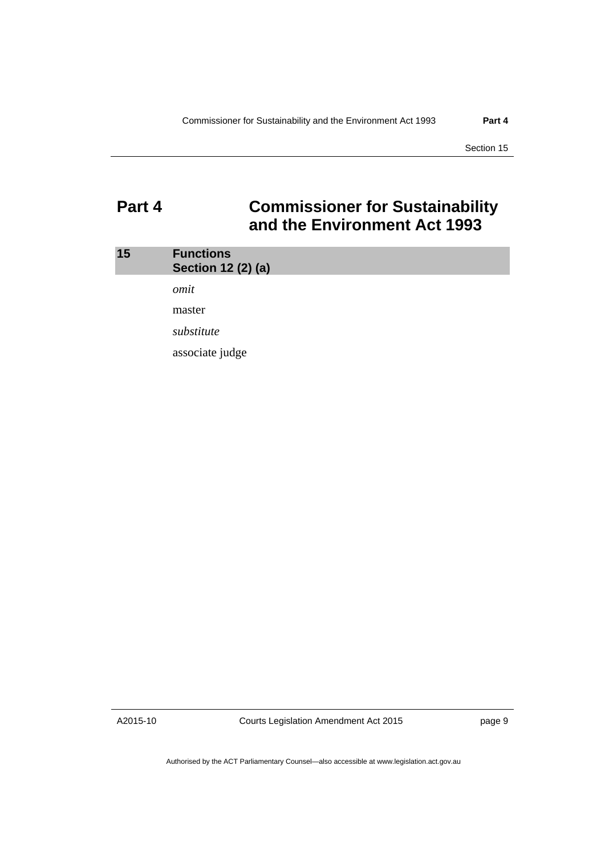Section 15

### <span id="page-12-0"></span>**Part 4 Commissioner for Sustainability and the Environment Act 1993**

<span id="page-12-1"></span>

| 15 | <b>Functions</b><br>Section 12 (2) (a) |
|----|----------------------------------------|
|    | omit                                   |
|    | master                                 |
|    | substitute                             |
|    | associate judge                        |

A2015-10

Courts Legislation Amendment Act 2015

page 9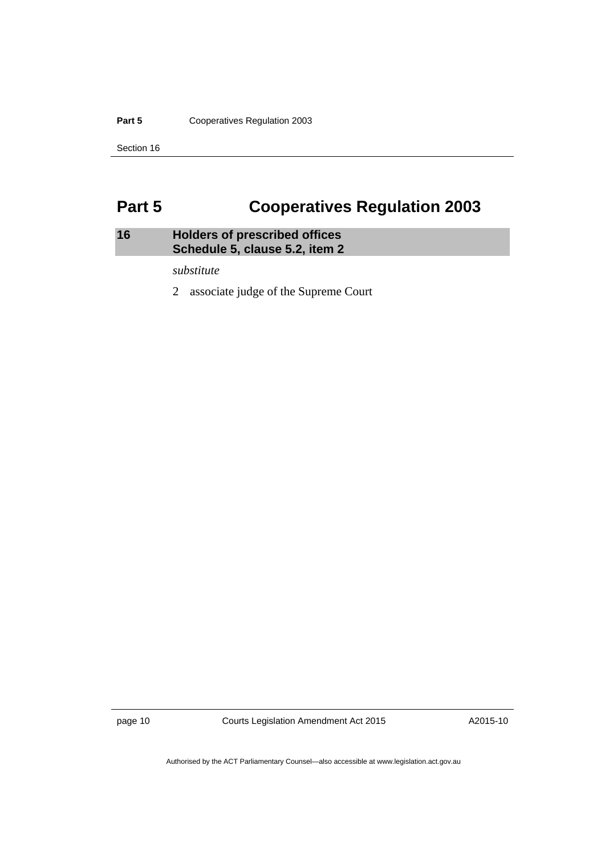Part 5 **Cooperatives Regulation 2003** 

Section 16

### <span id="page-13-0"></span>**Part 5 Cooperatives Regulation 2003**

#### <span id="page-13-1"></span>**16 Holders of prescribed offices Schedule 5, clause 5.2, item 2**

*substitute* 

2 associate judge of the Supreme Court

page 10 Courts Legislation Amendment Act 2015

A2015-10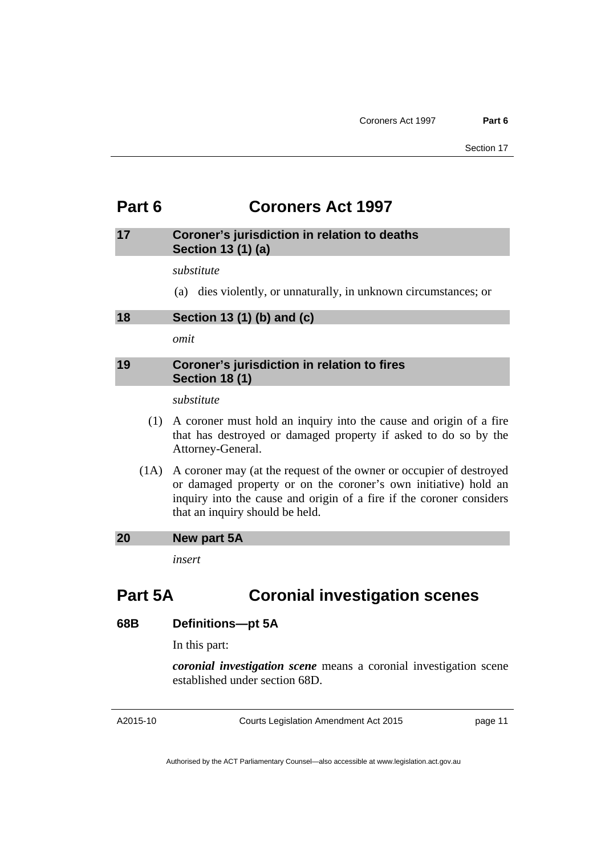### <span id="page-14-0"></span>**Part 6 Coroners Act 1997**

#### <span id="page-14-1"></span>**17 Coroner's jurisdiction in relation to deaths Section 13 (1) (a)**

*substitute* 

(a) dies violently, or unnaturally, in unknown circumstances; or

<span id="page-14-2"></span>**18 Section 13 (1) (b) and (c)** 

*omit* 

#### <span id="page-14-3"></span>**19 Coroner's jurisdiction in relation to fires Section 18 (1)**

*substitute* 

- (1) A coroner must hold an inquiry into the cause and origin of a fire that has destroyed or damaged property if asked to do so by the Attorney-General.
- (1A) A coroner may (at the request of the owner or occupier of destroyed or damaged property or on the coroner's own initiative) hold an inquiry into the cause and origin of a fire if the coroner considers that an inquiry should be held.

#### <span id="page-14-4"></span>**20 New part 5A**

*insert* 

### **Part 5A Coronial investigation scenes**

#### **68B Definitions—pt 5A**

In this part:

*coronial investigation scene* means a coronial investigation scene established under section 68D.

A2015-10

Courts Legislation Amendment Act 2015

page 11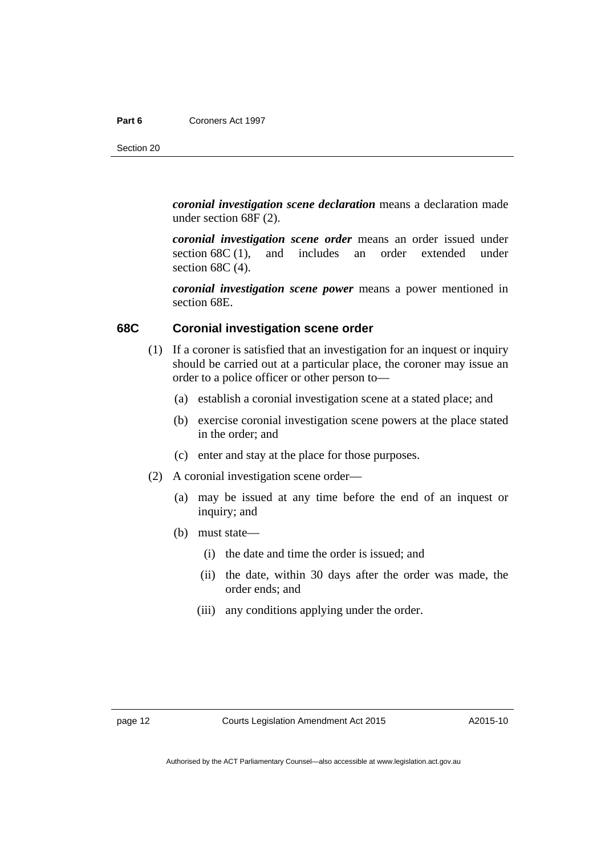*coronial investigation scene declaration* means a declaration made under section 68F (2).

*coronial investigation scene order* means an order issued under section 68C (1), and includes an order extended under section 68C (4).

*coronial investigation scene power* means a power mentioned in section 68E.

#### **68C Coronial investigation scene order**

- (1) If a coroner is satisfied that an investigation for an inquest or inquiry should be carried out at a particular place, the coroner may issue an order to a police officer or other person to—
	- (a) establish a coronial investigation scene at a stated place; and
	- (b) exercise coronial investigation scene powers at the place stated in the order; and
	- (c) enter and stay at the place for those purposes.
- (2) A coronial investigation scene order—
	- (a) may be issued at any time before the end of an inquest or inquiry; and
	- (b) must state—
		- (i) the date and time the order is issued; and
		- (ii) the date, within 30 days after the order was made, the order ends; and
		- (iii) any conditions applying under the order.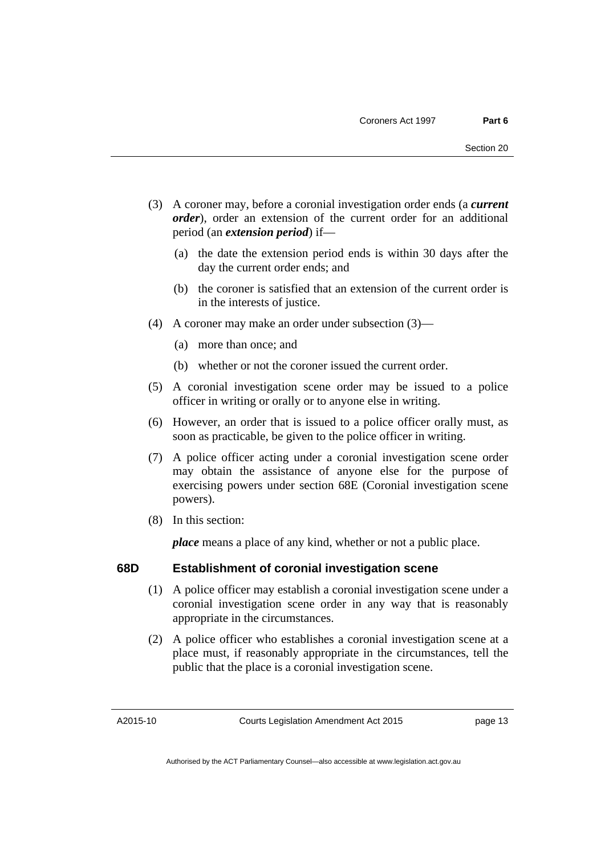- (3) A coroner may, before a coronial investigation order ends (a *current order*), order an extension of the current order for an additional period (an *extension period*) if—
	- (a) the date the extension period ends is within 30 days after the day the current order ends; and
	- (b) the coroner is satisfied that an extension of the current order is in the interests of justice.
- (4) A coroner may make an order under subsection (3)—
	- (a) more than once; and
	- (b) whether or not the coroner issued the current order.
- (5) A coronial investigation scene order may be issued to a police officer in writing or orally or to anyone else in writing.
- (6) However, an order that is issued to a police officer orally must, as soon as practicable, be given to the police officer in writing.
- (7) A police officer acting under a coronial investigation scene order may obtain the assistance of anyone else for the purpose of exercising powers under section 68E (Coronial investigation scene powers).
- (8) In this section:

*place* means a place of any kind, whether or not a public place.

#### **68D Establishment of coronial investigation scene**

- (1) A police officer may establish a coronial investigation scene under a coronial investigation scene order in any way that is reasonably appropriate in the circumstances.
- (2) A police officer who establishes a coronial investigation scene at a place must, if reasonably appropriate in the circumstances, tell the public that the place is a coronial investigation scene.

A2015-10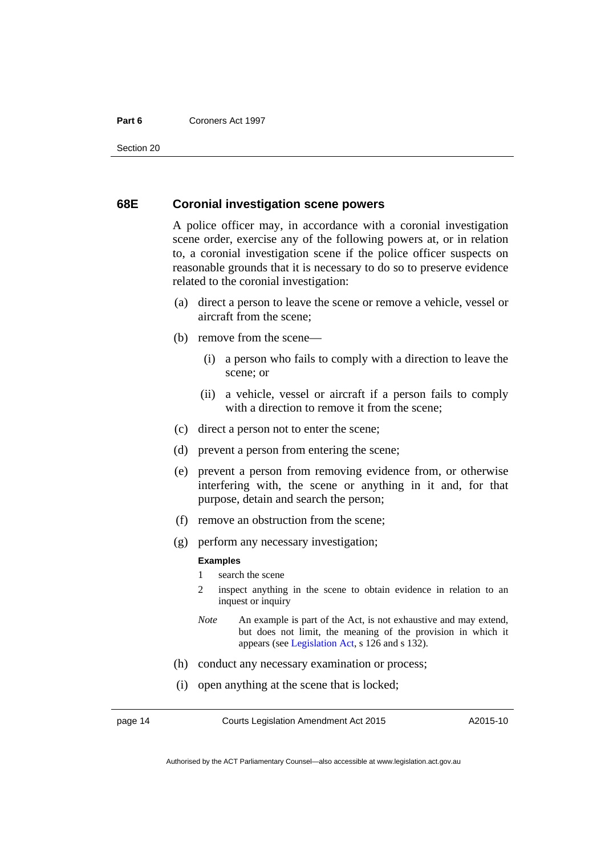#### **Part 6** Coroners Act 1997

Section 20

#### **68E Coronial investigation scene powers**

A police officer may, in accordance with a coronial investigation scene order, exercise any of the following powers at, or in relation to, a coronial investigation scene if the police officer suspects on reasonable grounds that it is necessary to do so to preserve evidence related to the coronial investigation:

- (a) direct a person to leave the scene or remove a vehicle, vessel or aircraft from the scene;
- (b) remove from the scene—
	- (i) a person who fails to comply with a direction to leave the scene; or
	- (ii) a vehicle, vessel or aircraft if a person fails to comply with a direction to remove it from the scene:
- (c) direct a person not to enter the scene;
- (d) prevent a person from entering the scene;
- (e) prevent a person from removing evidence from, or otherwise interfering with, the scene or anything in it and, for that purpose, detain and search the person;
- (f) remove an obstruction from the scene;
- (g) perform any necessary investigation;

#### **Examples**

- 1 search the scene
- 2 inspect anything in the scene to obtain evidence in relation to an inquest or inquiry
- *Note* An example is part of the Act, is not exhaustive and may extend, but does not limit, the meaning of the provision in which it appears (see [Legislation Act,](http://www.legislation.act.gov.au/a/2001-14) s 126 and s 132).
- (h) conduct any necessary examination or process;
- (i) open anything at the scene that is locked;

page 14 Courts Legislation Amendment Act 2015

A2015-10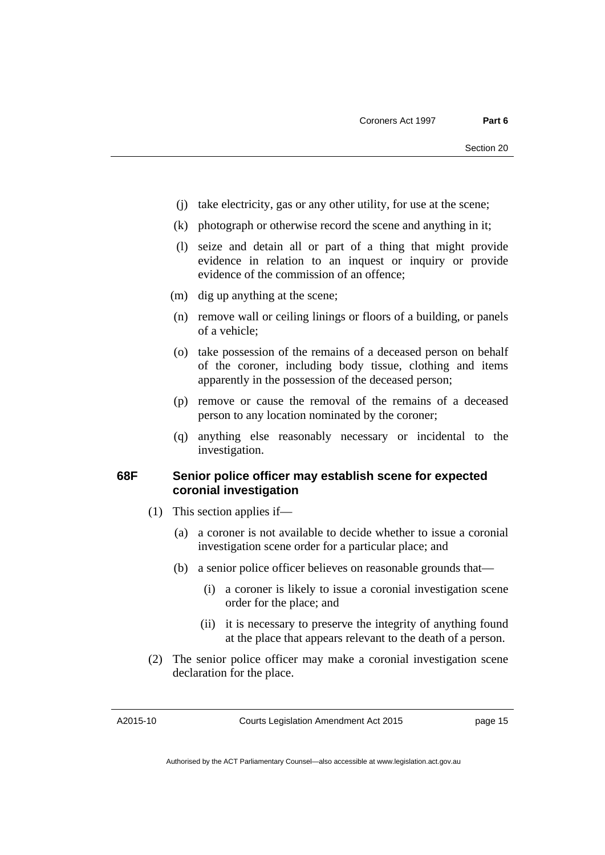- (j) take electricity, gas or any other utility, for use at the scene;
- (k) photograph or otherwise record the scene and anything in it;
- (l) seize and detain all or part of a thing that might provide evidence in relation to an inquest or inquiry or provide evidence of the commission of an offence;
- (m) dig up anything at the scene;
- (n) remove wall or ceiling linings or floors of a building, or panels of a vehicle;
- (o) take possession of the remains of a deceased person on behalf of the coroner, including body tissue, clothing and items apparently in the possession of the deceased person;
- (p) remove or cause the removal of the remains of a deceased person to any location nominated by the coroner;
- (q) anything else reasonably necessary or incidental to the investigation.

#### **68F Senior police officer may establish scene for expected coronial investigation**

- (1) This section applies if—
	- (a) a coroner is not available to decide whether to issue a coronial investigation scene order for a particular place; and
	- (b) a senior police officer believes on reasonable grounds that—
		- (i) a coroner is likely to issue a coronial investigation scene order for the place; and
		- (ii) it is necessary to preserve the integrity of anything found at the place that appears relevant to the death of a person.
- (2) The senior police officer may make a coronial investigation scene declaration for the place.

A2015-10

Courts Legislation Amendment Act 2015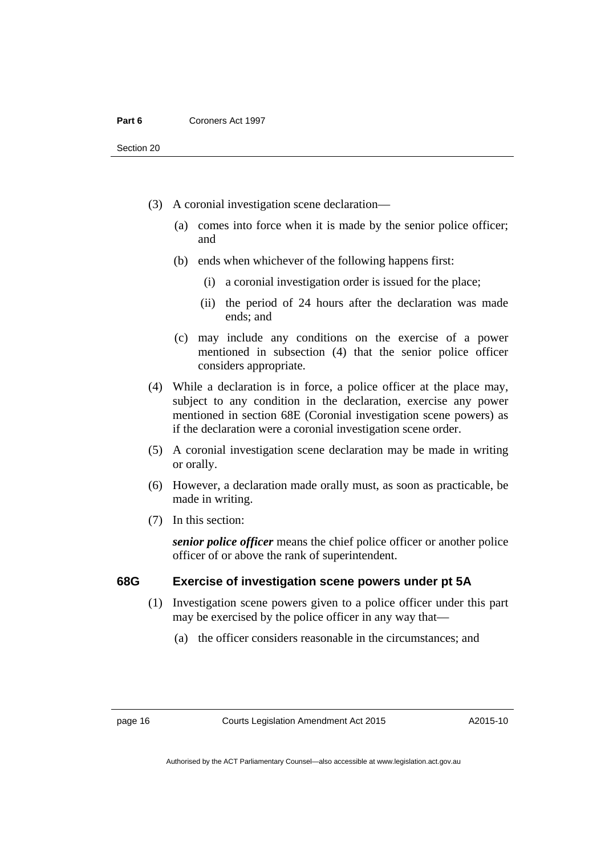- (3) A coronial investigation scene declaration—
	- (a) comes into force when it is made by the senior police officer; and
	- (b) ends when whichever of the following happens first:
		- (i) a coronial investigation order is issued for the place;
		- (ii) the period of 24 hours after the declaration was made ends; and
	- (c) may include any conditions on the exercise of a power mentioned in subsection (4) that the senior police officer considers appropriate.
- (4) While a declaration is in force, a police officer at the place may, subject to any condition in the declaration, exercise any power mentioned in section 68E (Coronial investigation scene powers) as if the declaration were a coronial investigation scene order.
- (5) A coronial investigation scene declaration may be made in writing or orally.
- (6) However, a declaration made orally must, as soon as practicable, be made in writing.
- (7) In this section:

*senior police officer* means the chief police officer or another police officer of or above the rank of superintendent.

#### **68G Exercise of investigation scene powers under pt 5A**

- (1) Investigation scene powers given to a police officer under this part may be exercised by the police officer in any way that—
	- (a) the officer considers reasonable in the circumstances; and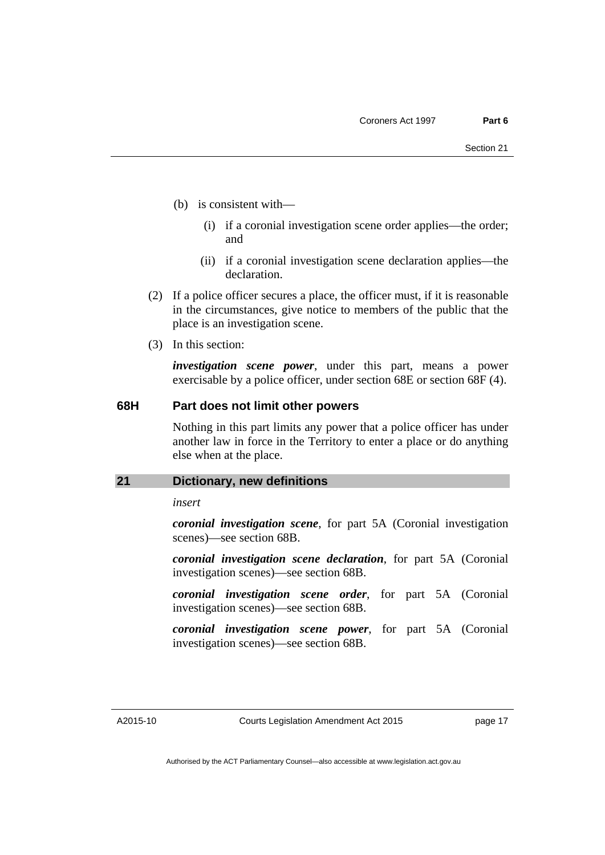- (b) is consistent with—
	- (i) if a coronial investigation scene order applies—the order; and
	- (ii) if a coronial investigation scene declaration applies—the declaration.
- (2) If a police officer secures a place, the officer must, if it is reasonable in the circumstances, give notice to members of the public that the place is an investigation scene.
- (3) In this section:

*investigation scene power*, under this part, means a power exercisable by a police officer, under section 68E or section 68F (4).

#### **68H Part does not limit other powers**

Nothing in this part limits any power that a police officer has under another law in force in the Territory to enter a place or do anything else when at the place.

#### <span id="page-20-0"></span>**21 Dictionary, new definitions**

*insert* 

*coronial investigation scene*, for part 5A (Coronial investigation scenes)—see section 68B.

*coronial investigation scene declaration*, for part 5A (Coronial investigation scenes)—see section 68B.

*coronial investigation scene order*, for part 5A (Coronial investigation scenes)—see section 68B.

*coronial investigation scene power*, for part 5A (Coronial investigation scenes)—see section 68B.

A2015-10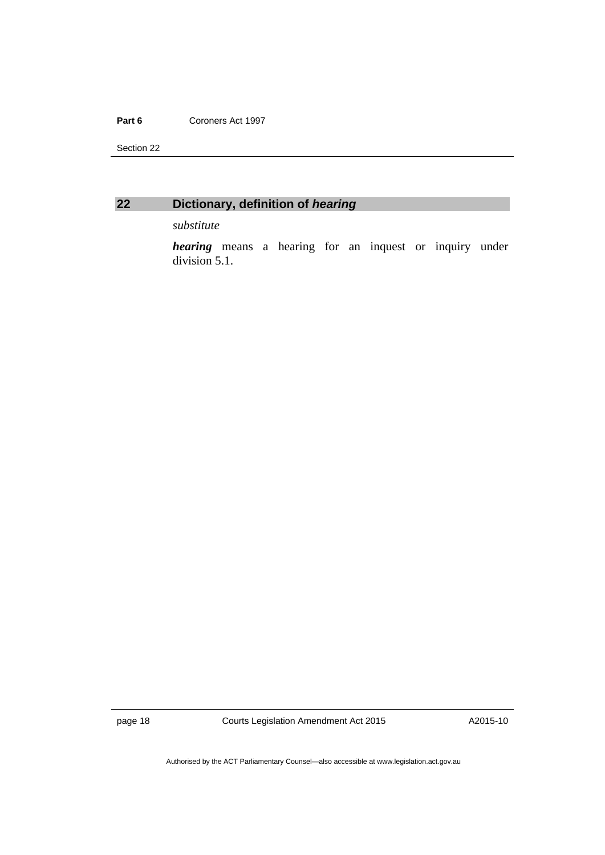#### Part 6 **Coroners Act 1997**

Section 22



#### <span id="page-21-0"></span>**22 Dictionary, definition of** *hearing*

*substitute* 

*hearing* means a hearing for an inquest or inquiry under division 5.1.

page 18 Courts Legislation Amendment Act 2015

A2015-10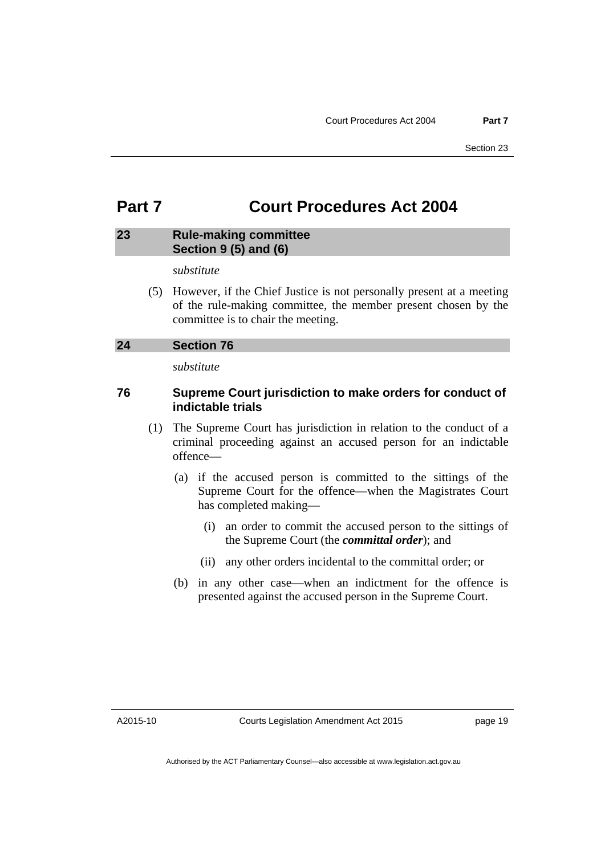### <span id="page-22-0"></span>**Part 7 Court Procedures Act 2004**

#### <span id="page-22-1"></span>**23 Rule-making committee Section 9 (5) and (6)**

*substitute* 

 (5) However, if the Chief Justice is not personally present at a meeting of the rule-making committee, the member present chosen by the committee is to chair the meeting.

#### <span id="page-22-2"></span>**24 Section 76**

*substitute* 

#### **76 Supreme Court jurisdiction to make orders for conduct of indictable trials**

- (1) The Supreme Court has jurisdiction in relation to the conduct of a criminal proceeding against an accused person for an indictable offence—
	- (a) if the accused person is committed to the sittings of the Supreme Court for the offence—when the Magistrates Court has completed making—
		- (i) an order to commit the accused person to the sittings of the Supreme Court (the *committal order*); and
		- (ii) any other orders incidental to the committal order; or
	- (b) in any other case—when an indictment for the offence is presented against the accused person in the Supreme Court.

A2015-10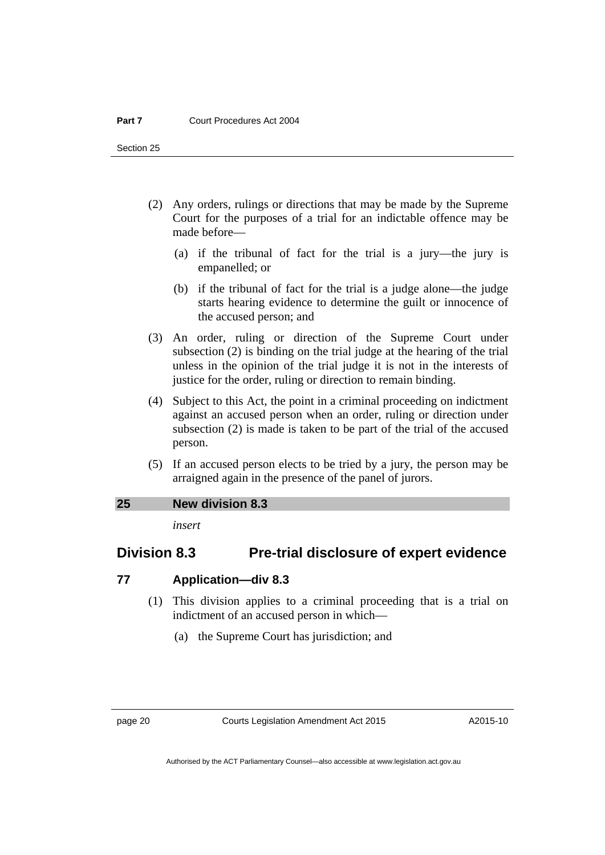Section 25

- (2) Any orders, rulings or directions that may be made by the Supreme Court for the purposes of a trial for an indictable offence may be made before—
	- (a) if the tribunal of fact for the trial is a jury—the jury is empanelled; or
	- (b) if the tribunal of fact for the trial is a judge alone—the judge starts hearing evidence to determine the guilt or innocence of the accused person; and
- (3) An order, ruling or direction of the Supreme Court under subsection (2) is binding on the trial judge at the hearing of the trial unless in the opinion of the trial judge it is not in the interests of justice for the order, ruling or direction to remain binding.
- (4) Subject to this Act, the point in a criminal proceeding on indictment against an accused person when an order, ruling or direction under subsection (2) is made is taken to be part of the trial of the accused person.
- (5) If an accused person elects to be tried by a jury, the person may be arraigned again in the presence of the panel of jurors.

#### <span id="page-23-0"></span>**25 New division 8.3**

*insert* 

### **Division 8.3 Pre-trial disclosure of expert evidence**

#### **77 Application—div 8.3**

- (1) This division applies to a criminal proceeding that is a trial on indictment of an accused person in which—
	- (a) the Supreme Court has jurisdiction; and

page 20 Courts Legislation Amendment Act 2015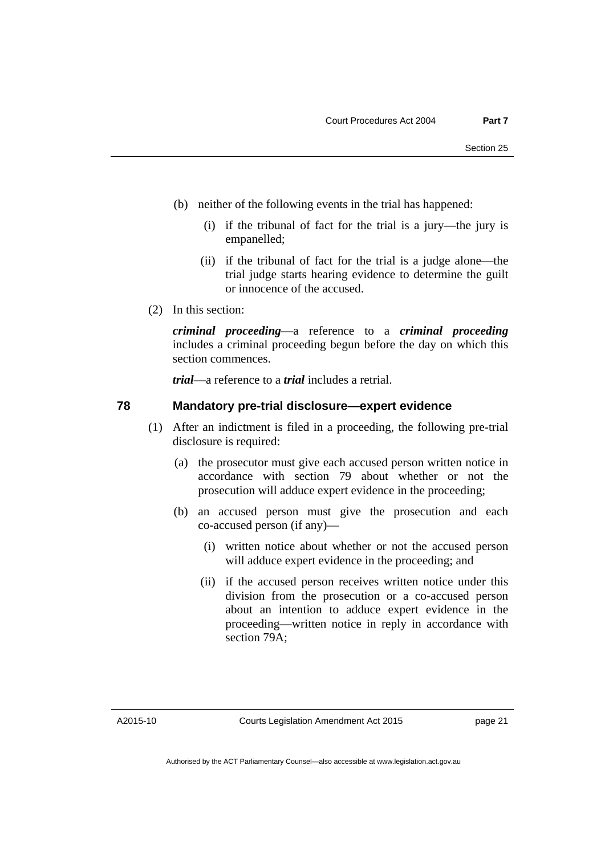- (b) neither of the following events in the trial has happened:
	- (i) if the tribunal of fact for the trial is a jury—the jury is empanelled;
	- (ii) if the tribunal of fact for the trial is a judge alone—the trial judge starts hearing evidence to determine the guilt or innocence of the accused.
- (2) In this section:

*criminal proceeding*—a reference to a *criminal proceeding* includes a criminal proceeding begun before the day on which this section commences.

*trial*—a reference to a *trial* includes a retrial.

#### **78 Mandatory pre-trial disclosure—expert evidence**

- (1) After an indictment is filed in a proceeding, the following pre-trial disclosure is required:
	- (a) the prosecutor must give each accused person written notice in accordance with section 79 about whether or not the prosecution will adduce expert evidence in the proceeding;
	- (b) an accused person must give the prosecution and each co-accused person (if any)—
		- (i) written notice about whether or not the accused person will adduce expert evidence in the proceeding; and
		- (ii) if the accused person receives written notice under this division from the prosecution or a co-accused person about an intention to adduce expert evidence in the proceeding—written notice in reply in accordance with section 79A;

A2015-10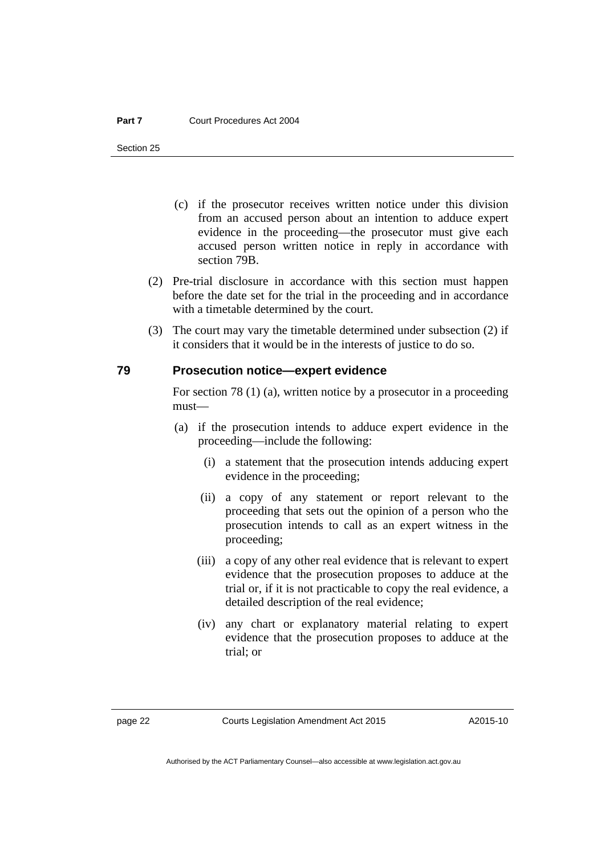Section 25

- (c) if the prosecutor receives written notice under this division from an accused person about an intention to adduce expert evidence in the proceeding—the prosecutor must give each accused person written notice in reply in accordance with section 79B.
- (2) Pre-trial disclosure in accordance with this section must happen before the date set for the trial in the proceeding and in accordance with a timetable determined by the court.
- (3) The court may vary the timetable determined under subsection (2) if it considers that it would be in the interests of justice to do so.

#### **79 Prosecution notice—expert evidence**

For section 78 (1) (a), written notice by a prosecutor in a proceeding must—

- (a) if the prosecution intends to adduce expert evidence in the proceeding—include the following:
	- (i) a statement that the prosecution intends adducing expert evidence in the proceeding;
	- (ii) a copy of any statement or report relevant to the proceeding that sets out the opinion of a person who the prosecution intends to call as an expert witness in the proceeding;
	- (iii) a copy of any other real evidence that is relevant to expert evidence that the prosecution proposes to adduce at the trial or, if it is not practicable to copy the real evidence, a detailed description of the real evidence;
	- (iv) any chart or explanatory material relating to expert evidence that the prosecution proposes to adduce at the trial; or

Authorised by the ACT Parliamentary Counsel—also accessible at www.legislation.act.gov.au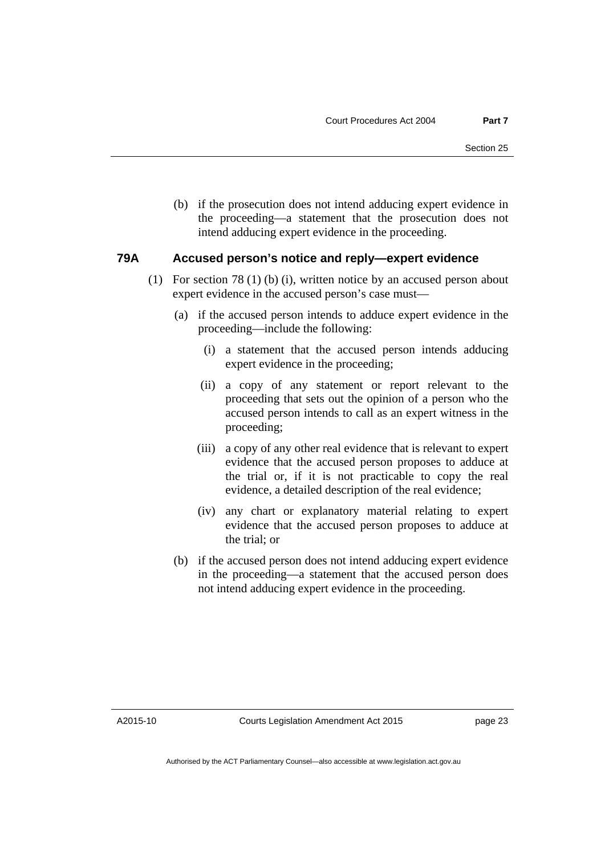(b) if the prosecution does not intend adducing expert evidence in the proceeding—a statement that the prosecution does not intend adducing expert evidence in the proceeding.

#### **79A Accused person's notice and reply—expert evidence**

- (1) For section 78 (1) (b) (i), written notice by an accused person about expert evidence in the accused person's case must—
	- (a) if the accused person intends to adduce expert evidence in the proceeding—include the following:
		- (i) a statement that the accused person intends adducing expert evidence in the proceeding;
		- (ii) a copy of any statement or report relevant to the proceeding that sets out the opinion of a person who the accused person intends to call as an expert witness in the proceeding;
		- (iii) a copy of any other real evidence that is relevant to expert evidence that the accused person proposes to adduce at the trial or, if it is not practicable to copy the real evidence, a detailed description of the real evidence;
		- (iv) any chart or explanatory material relating to expert evidence that the accused person proposes to adduce at the trial; or
	- (b) if the accused person does not intend adducing expert evidence in the proceeding—a statement that the accused person does not intend adducing expert evidence in the proceeding.

A2015-10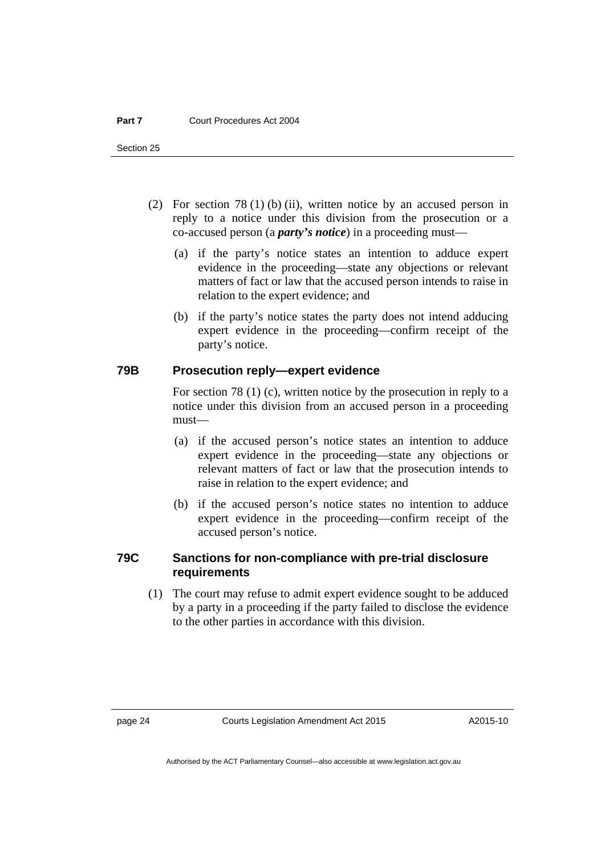Section 25

- (2) For section 78 (1) (b) (ii), written notice by an accused person in reply to a notice under this division from the prosecution or a co-accused person (a *party's notice*) in a proceeding must—
	- (a) if the party's notice states an intention to adduce expert evidence in the proceeding—state any objections or relevant matters of fact or law that the accused person intends to raise in relation to the expert evidence; and
	- (b) if the party's notice states the party does not intend adducing expert evidence in the proceeding—confirm receipt of the party's notice.

#### **79B Prosecution reply—expert evidence**

For section 78 (1) (c), written notice by the prosecution in reply to a notice under this division from an accused person in a proceeding must—

- (a) if the accused person's notice states an intention to adduce expert evidence in the proceeding—state any objections or relevant matters of fact or law that the prosecution intends to raise in relation to the expert evidence; and
- (b) if the accused person's notice states no intention to adduce expert evidence in the proceeding—confirm receipt of the accused person's notice.

#### **79C Sanctions for non-compliance with pre-trial disclosure requirements**

 (1) The court may refuse to admit expert evidence sought to be adduced by a party in a proceeding if the party failed to disclose the evidence to the other parties in accordance with this division.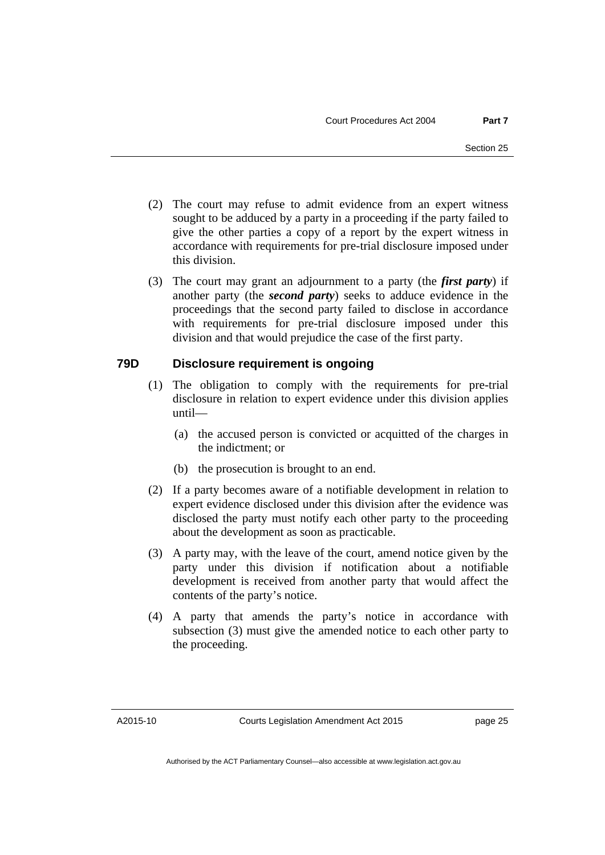- (2) The court may refuse to admit evidence from an expert witness sought to be adduced by a party in a proceeding if the party failed to give the other parties a copy of a report by the expert witness in accordance with requirements for pre-trial disclosure imposed under this division.
- (3) The court may grant an adjournment to a party (the *first party*) if another party (the *second party*) seeks to adduce evidence in the proceedings that the second party failed to disclose in accordance with requirements for pre-trial disclosure imposed under this division and that would prejudice the case of the first party.

#### **79D Disclosure requirement is ongoing**

- (1) The obligation to comply with the requirements for pre-trial disclosure in relation to expert evidence under this division applies until—
	- (a) the accused person is convicted or acquitted of the charges in the indictment; or
	- (b) the prosecution is brought to an end.
- (2) If a party becomes aware of a notifiable development in relation to expert evidence disclosed under this division after the evidence was disclosed the party must notify each other party to the proceeding about the development as soon as practicable.
- (3) A party may, with the leave of the court, amend notice given by the party under this division if notification about a notifiable development is received from another party that would affect the contents of the party's notice.
- (4) A party that amends the party's notice in accordance with subsection (3) must give the amended notice to each other party to the proceeding.

A2015-10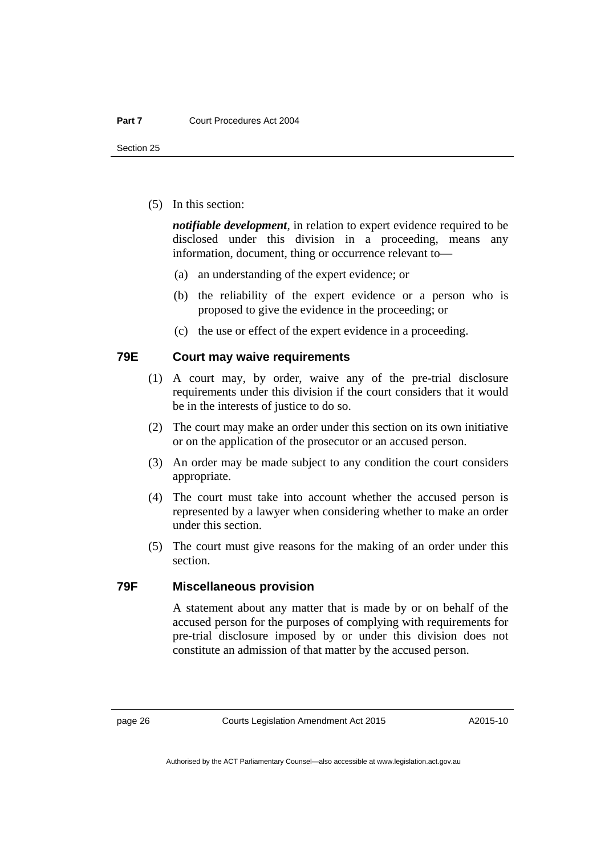Section 25

(5) In this section:

*notifiable development*, in relation to expert evidence required to be disclosed under this division in a proceeding, means any information, document, thing or occurrence relevant to—

- (a) an understanding of the expert evidence; or
- (b) the reliability of the expert evidence or a person who is proposed to give the evidence in the proceeding; or
- (c) the use or effect of the expert evidence in a proceeding.

#### **79E Court may waive requirements**

- (1) A court may, by order, waive any of the pre-trial disclosure requirements under this division if the court considers that it would be in the interests of justice to do so.
- (2) The court may make an order under this section on its own initiative or on the application of the prosecutor or an accused person.
- (3) An order may be made subject to any condition the court considers appropriate.
- (4) The court must take into account whether the accused person is represented by a lawyer when considering whether to make an order under this section.
- (5) The court must give reasons for the making of an order under this section.

#### **79F Miscellaneous provision**

A statement about any matter that is made by or on behalf of the accused person for the purposes of complying with requirements for pre-trial disclosure imposed by or under this division does not constitute an admission of that matter by the accused person.

Authorised by the ACT Parliamentary Counsel—also accessible at www.legislation.act.gov.au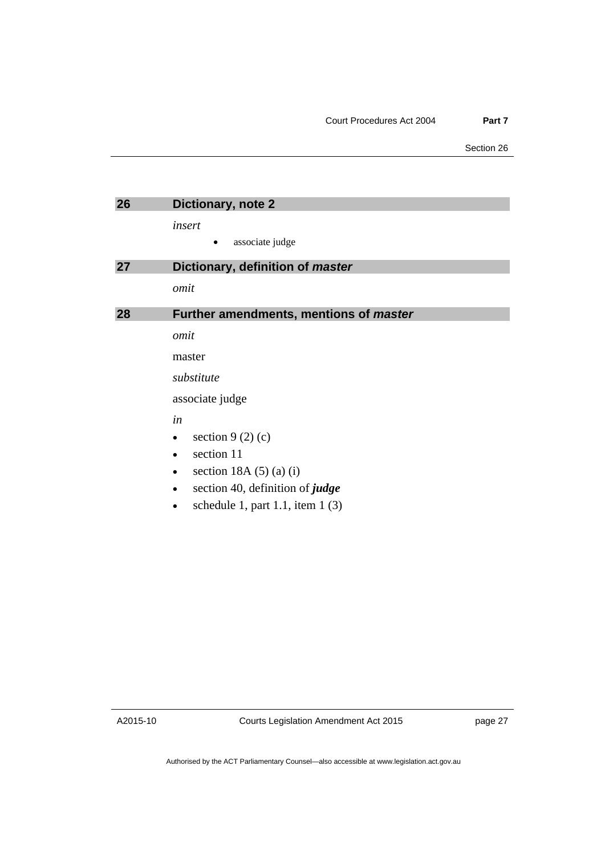<span id="page-30-2"></span><span id="page-30-1"></span><span id="page-30-0"></span>

| 26 | Dictionary, note 2                         |
|----|--------------------------------------------|
|    | insert                                     |
|    | associate judge                            |
| 27 | Dictionary, definition of master           |
|    | omit                                       |
| 28 | Further amendments, mentions of master     |
|    | omit                                       |
|    | master                                     |
|    | substitute                                 |
|    | associate judge                            |
|    | in                                         |
|    | section $9(2)(c)$<br>٠                     |
|    | section 11<br>$\bullet$                    |
|    | section 18A $(5)$ $(a)$ $(i)$<br>$\bullet$ |
|    | section 40, definition of <i>judge</i>     |

 $\bullet$  schedule 1, part 1.1, item 1 (3)

A2015-10

Courts Legislation Amendment Act 2015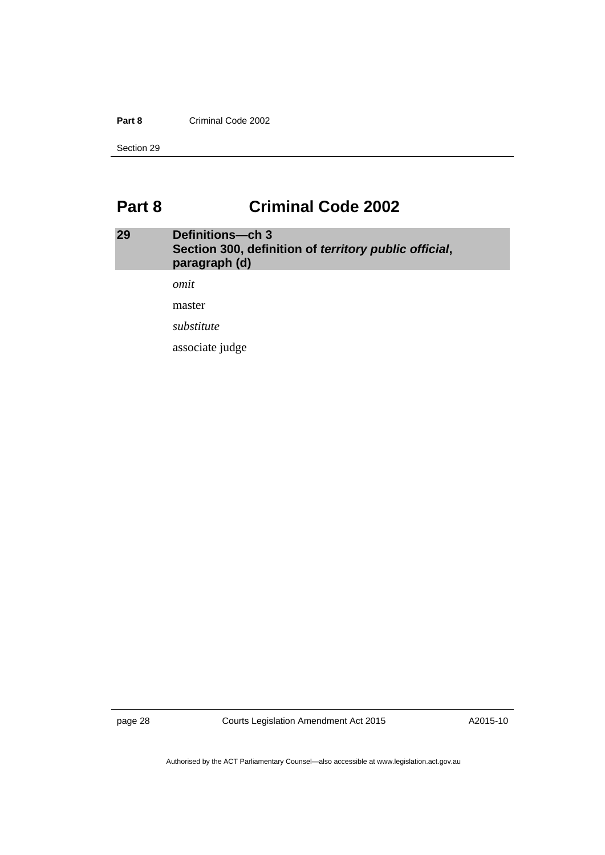#### **Part 8** Criminal Code 2002

Section 29

### <span id="page-31-0"></span>**Part 8 Criminal Code 2002**

#### <span id="page-31-1"></span>**29 Definitions—ch 3 Section 300, definition of** *territory public official***, paragraph (d)**

*omit* 

master

*substitute* 

associate judge

page 28 Courts Legislation Amendment Act 2015

A2015-10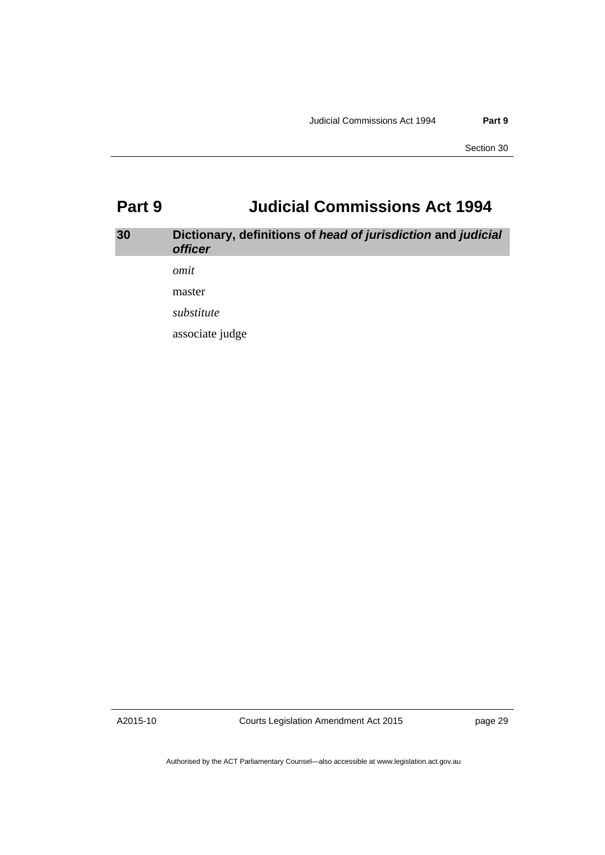### <span id="page-32-0"></span>**Part 9 Judicial Commissions Act 1994**

### <span id="page-32-1"></span>**30 Dictionary, definitions of** *head of jurisdiction* **and** *judicial officer omit*

master

*substitute* 

associate judge

A2015-10

Courts Legislation Amendment Act 2015

page 29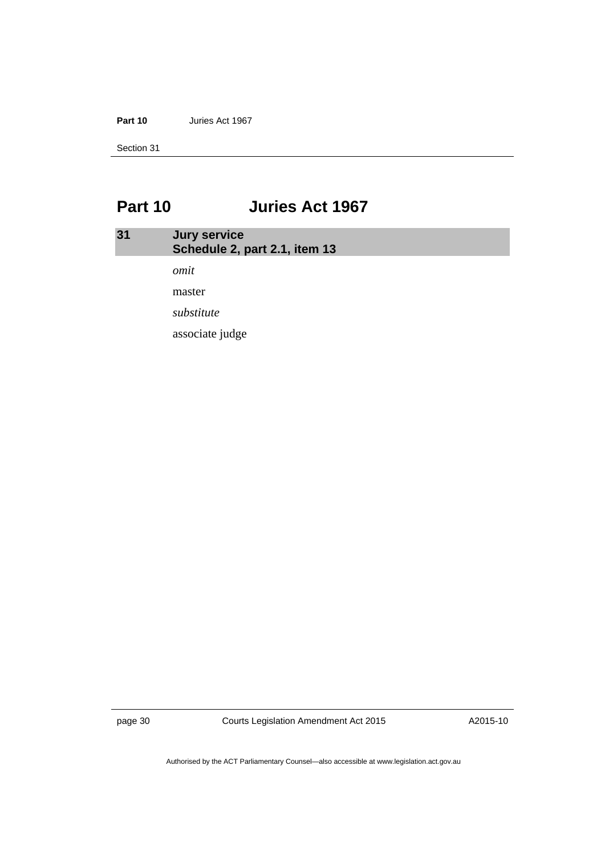**Part 10** Juries Act 1967

Section 31

### <span id="page-33-0"></span>**Part 10 Juries Act 1967**

### <span id="page-33-1"></span>**31 Jury service Schedule 2, part 2.1, item 13**  *omit*  master *substitute* associate judge

page 30 Courts Legislation Amendment Act 2015

A2015-10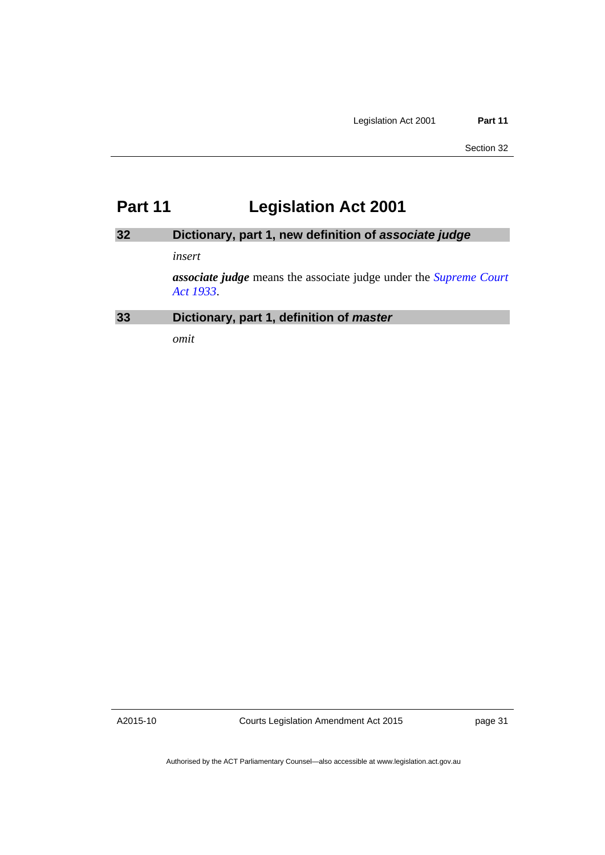### <span id="page-34-0"></span>**Part 11 Legislation Act 2001**

### <span id="page-34-1"></span>**32 Dictionary, part 1, new definition of** *associate judge*

#### *insert*

*associate judge* means the associate judge under the *[Supreme Court](http://www.legislation.act.gov.au/a/1933-34)  [Act 1933](http://www.legislation.act.gov.au/a/1933-34)*.

<span id="page-34-2"></span>**33 Dictionary, part 1, definition of** *master*

*omit* 

A2015-10

Courts Legislation Amendment Act 2015

page 31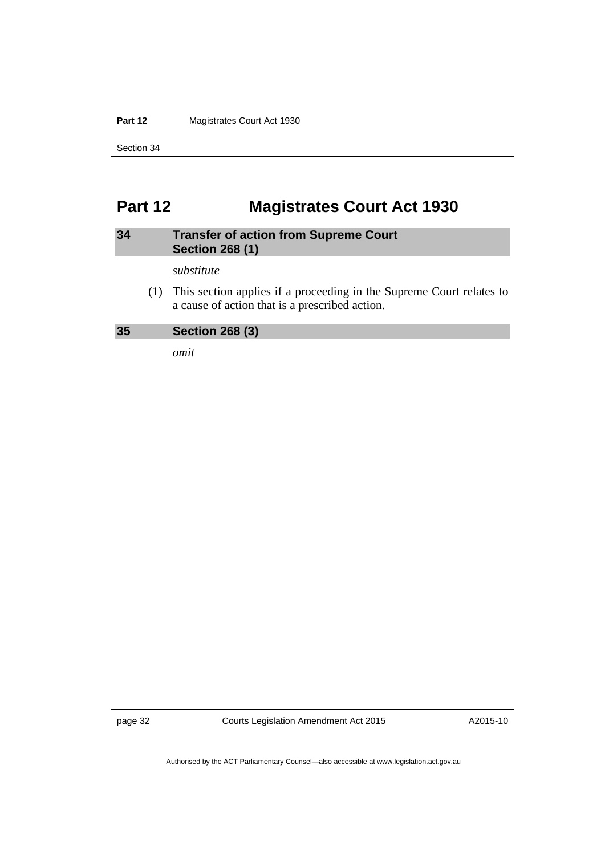Part 12 **Magistrates Court Act 1930** 

Section 34

### <span id="page-35-0"></span>**Part 12 Magistrates Court Act 1930**

#### <span id="page-35-1"></span>**34 Transfer of action from Supreme Court Section 268 (1)**

*substitute* 

 (1) This section applies if a proceeding in the Supreme Court relates to a cause of action that is a prescribed action.

<span id="page-35-2"></span>

*omit* 

page 32 Courts Legislation Amendment Act 2015

A2015-10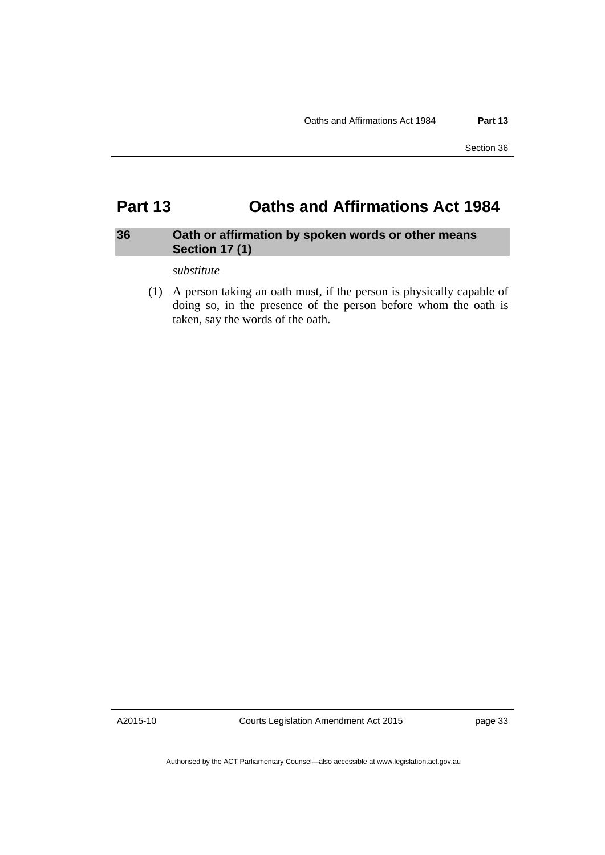### <span id="page-36-0"></span>**Part 13 Oaths and Affirmations Act 1984**

#### <span id="page-36-1"></span>**36 Oath or affirmation by spoken words or other means Section 17 (1)**

#### *substitute*

 (1) A person taking an oath must, if the person is physically capable of doing so, in the presence of the person before whom the oath is taken, say the words of the oath.

A2015-10

Courts Legislation Amendment Act 2015

page 33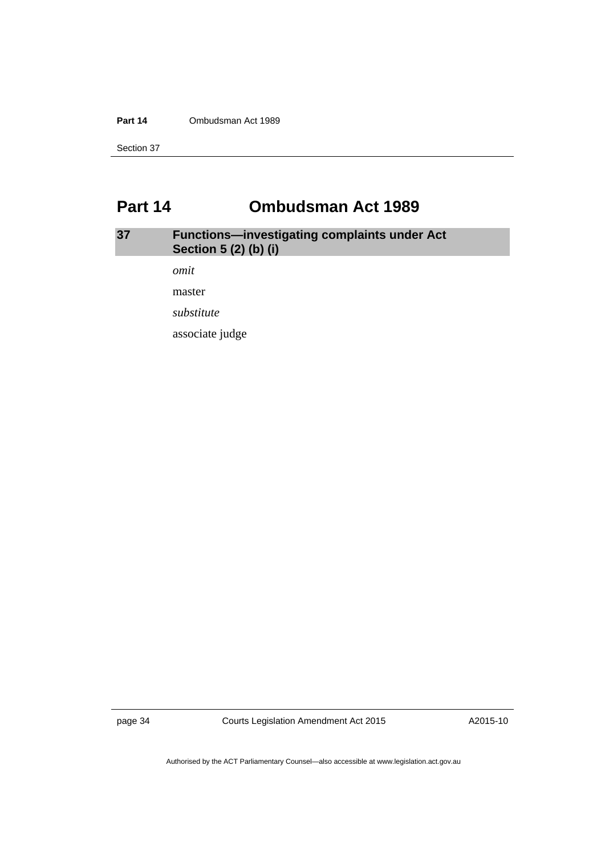#### **Part 14** Ombudsman Act 1989

Section 37

### <span id="page-37-0"></span>**Part 14 Ombudsman Act 1989**

### <span id="page-37-1"></span>**37 Functions—investigating complaints under Act Section 5 (2) (b) (i)**

*omit* 

master

*substitute* 

associate judge

page 34 Courts Legislation Amendment Act 2015

A2015-10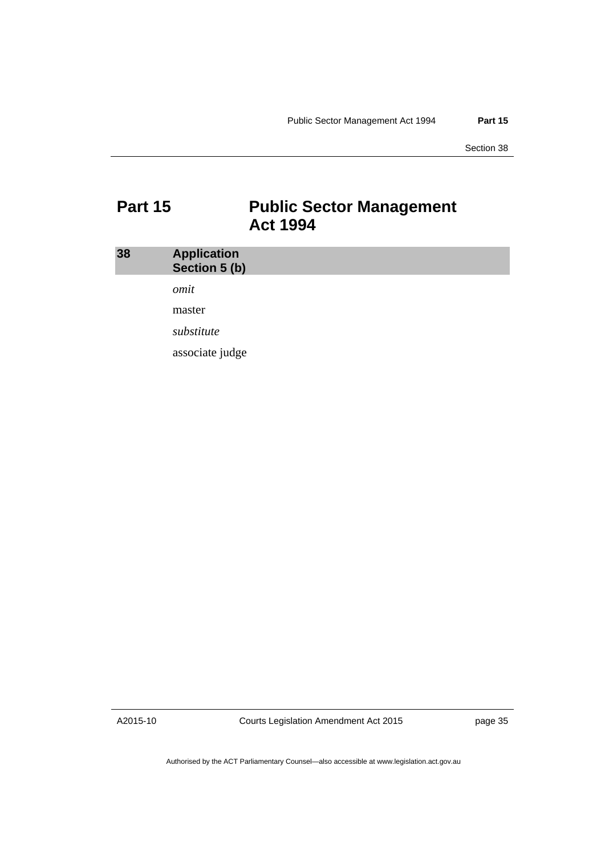Section 38

### <span id="page-38-0"></span>**Part 15 Public Sector Management Act 1994**

<span id="page-38-1"></span>

| 38 | <b>Application</b><br>Section 5 (b) |  |
|----|-------------------------------------|--|
|    | omit                                |  |
|    | master                              |  |
|    | substitute                          |  |
|    | associate judge                     |  |

A2015-10

Courts Legislation Amendment Act 2015

page 35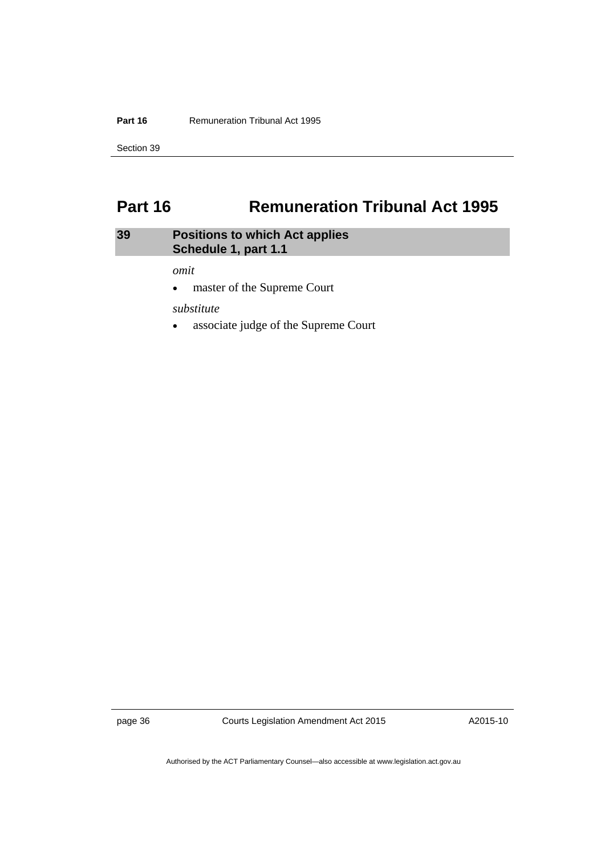#### **Part 16 Remuneration Tribunal Act 1995**

Section 39

### <span id="page-39-0"></span>**Part 16 Remuneration Tribunal Act 1995**

#### <span id="page-39-1"></span>**39 Positions to which Act applies Schedule 1, part 1.1**

*omit* 

master of the Supreme Court

*substitute* 

associate judge of the Supreme Court

page 36 Courts Legislation Amendment Act 2015

A2015-10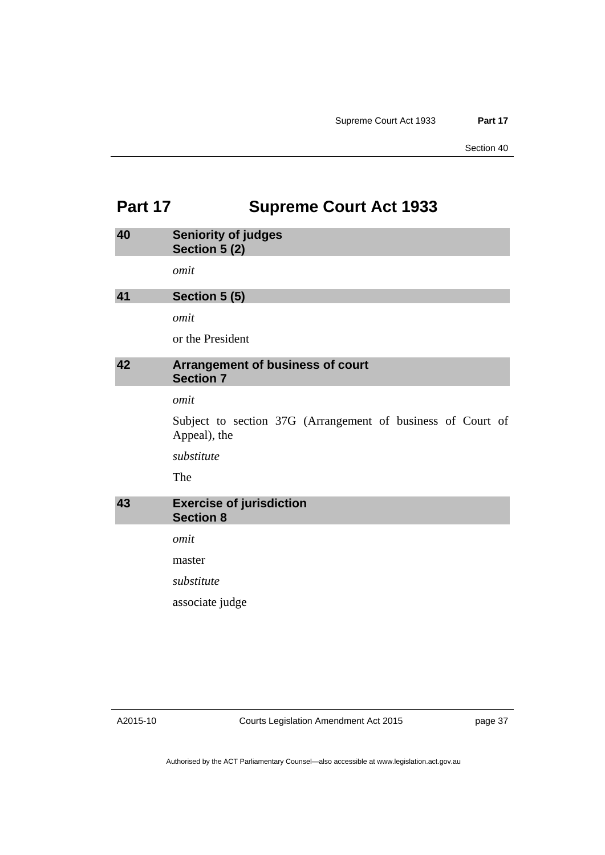### <span id="page-40-0"></span>**Part 17 Supreme Court Act 1933**

<span id="page-40-3"></span><span id="page-40-2"></span><span id="page-40-1"></span>

| 40 | <b>Seniority of judges</b><br>Section 5 (2)                                 |
|----|-----------------------------------------------------------------------------|
|    | omit                                                                        |
| 41 | Section 5 (5)                                                               |
|    | omit                                                                        |
|    | or the President                                                            |
| 42 | Arrangement of business of court<br><b>Section 7</b>                        |
|    | omit                                                                        |
|    | Subject to section 37G (Arrangement of business of Court of<br>Appeal), the |
|    | substitute                                                                  |
|    | The                                                                         |
| 43 | <b>Exercise of jurisdiction</b><br><b>Section 8</b>                         |
|    | omit                                                                        |
|    | master                                                                      |
|    | substitute                                                                  |
|    | associate judge                                                             |
|    |                                                                             |

<span id="page-40-4"></span>A2015-10

Courts Legislation Amendment Act 2015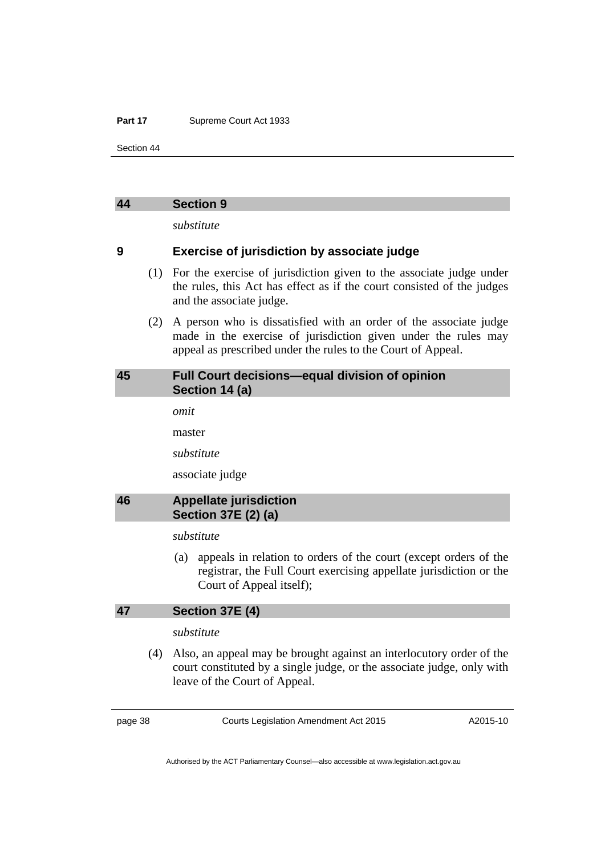#### Part 17 **Supreme Court Act 1933**

Section 44

#### <span id="page-41-0"></span>**44 Section 9**

*substitute* 

#### **9 Exercise of jurisdiction by associate judge**

- (1) For the exercise of jurisdiction given to the associate judge under the rules, this Act has effect as if the court consisted of the judges and the associate judge.
- (2) A person who is dissatisfied with an order of the associate judge made in the exercise of jurisdiction given under the rules may appeal as prescribed under the rules to the Court of Appeal.

#### <span id="page-41-1"></span>**45 Full Court decisions—equal division of opinion Section 14 (a)**

*omit* 

master

*substitute* 

associate judge

#### <span id="page-41-2"></span>**46 Appellate jurisdiction Section 37E (2) (a)**

#### *substitute*

 (a) appeals in relation to orders of the court (except orders of the registrar, the Full Court exercising appellate jurisdiction or the Court of Appeal itself);

#### <span id="page-41-3"></span>**47 Section 37E (4)**

#### *substitute*

 (4) Also, an appeal may be brought against an interlocutory order of the court constituted by a single judge, or the associate judge, only with leave of the Court of Appeal.

page 38 Courts Legislation Amendment Act 2015

A2015-10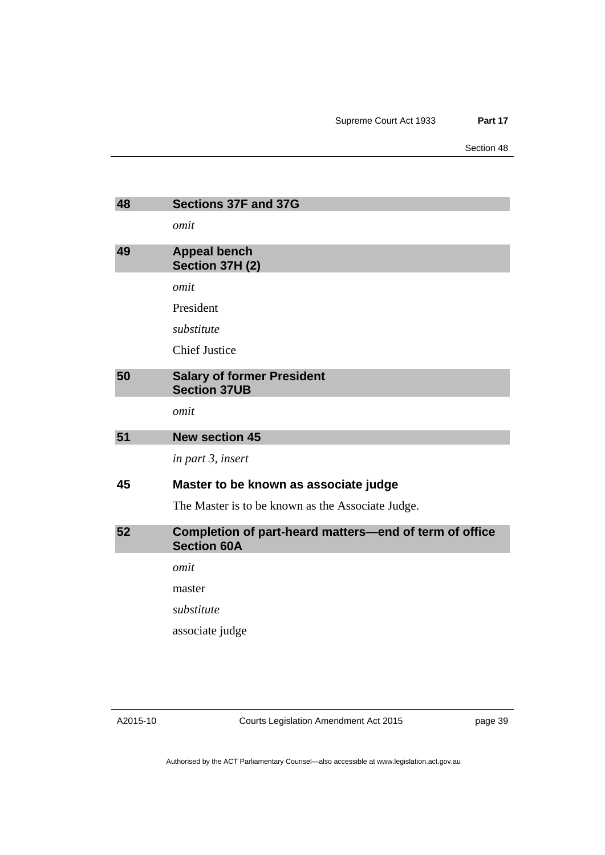Section 48

<span id="page-42-3"></span><span id="page-42-2"></span><span id="page-42-1"></span><span id="page-42-0"></span>

| 48 | <b>Sections 37F and 37G</b>                                                  |
|----|------------------------------------------------------------------------------|
|    | omit                                                                         |
| 49 | <b>Appeal bench</b><br>Section 37H (2)                                       |
|    | omit                                                                         |
|    | President                                                                    |
|    | substitute                                                                   |
|    | <b>Chief Justice</b>                                                         |
| 50 | <b>Salary of former President</b><br><b>Section 37UB</b>                     |
|    | omit                                                                         |
| 51 | <b>New section 45</b>                                                        |
|    | in part 3, insert                                                            |
| 45 | Master to be known as associate judge                                        |
|    | The Master is to be known as the Associate Judge.                            |
| 52 | Completion of part-heard matters-end of term of office<br><b>Section 60A</b> |
|    | omit                                                                         |
|    | master                                                                       |
|    | substitute                                                                   |
|    | associate judge                                                              |
|    |                                                                              |

<span id="page-42-4"></span>Courts Legislation Amendment Act 2015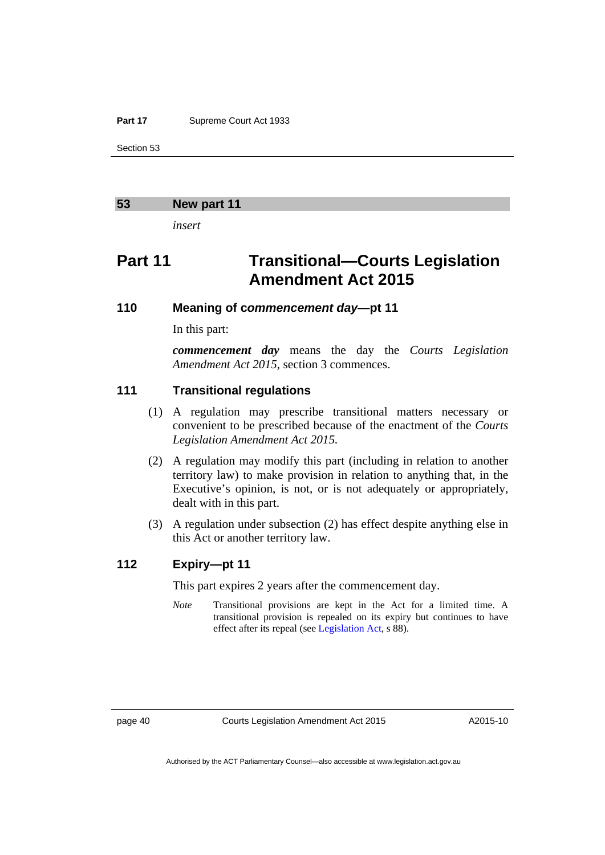#### Part 17 **Supreme Court Act 1933**

Section 53

#### <span id="page-43-0"></span>**53 New part 11**

*insert* 

### **Part 11 Transitional—Courts Legislation Amendment Act 2015**

#### **110 Meaning of c***ommencement day***—pt 11**

In this part:

*commencement day* means the day the *Courts Legislation Amendment Act 2015*, section 3 commences.

#### **111 Transitional regulations**

- (1) A regulation may prescribe transitional matters necessary or convenient to be prescribed because of the enactment of the *Courts Legislation Amendment Act 2015.*
- (2) A regulation may modify this part (including in relation to another territory law) to make provision in relation to anything that, in the Executive's opinion, is not, or is not adequately or appropriately, dealt with in this part.
- (3) A regulation under subsection (2) has effect despite anything else in this Act or another territory law.

#### **112 Expiry—pt 11**

This part expires 2 years after the commencement day.

*Note* Transitional provisions are kept in the Act for a limited time. A transitional provision is repealed on its expiry but continues to have effect after its repeal (see [Legislation Act,](http://www.legislation.act.gov.au/a/2001-14) s 88).

page 40 Courts Legislation Amendment Act 2015

A2015-10